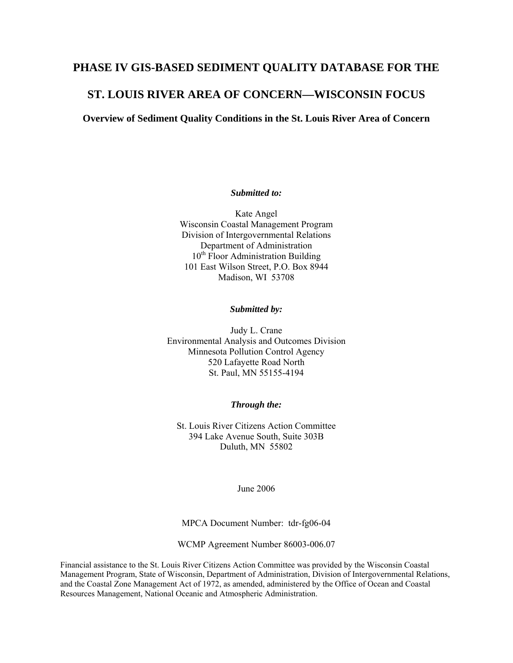## **PHASE IV GIS-BASED SEDIMENT QUALITY DATABASE FOR THE**

# **ST. LOUIS RIVER AREA OF CONCERN—WISCONSIN FOCUS**

**Overview of Sediment Quality Conditions in the St. Louis River Area of Concern** 

#### *Submitted to:*

Kate Angel Wisconsin Coastal Management Program Division of Intergovernmental Relations Department of Administration  $10<sup>th</sup>$  Floor Administration Building 101 East Wilson Street, P.O. Box 8944 Madison, WI 53708

#### *Submitted by:*

Judy L. Crane Environmental Analysis and Outcomes Division Minnesota Pollution Control Agency 520 Lafayette Road North St. Paul, MN 55155-4194

#### *Through the:*

St. Louis River Citizens Action Committee 394 Lake Avenue South, Suite 303B Duluth, MN 55802

June 2006

MPCA Document Number: tdr-fg06-04

WCMP Agreement Number 86003-006.07

Financial assistance to the St. Louis River Citizens Action Committee was provided by the Wisconsin Coastal Management Program, State of Wisconsin, Department of Administration, Division of Intergovernmental Relations, and the Coastal Zone Management Act of 1972, as amended, administered by the Office of Ocean and Coastal Resources Management, National Oceanic and Atmospheric Administration.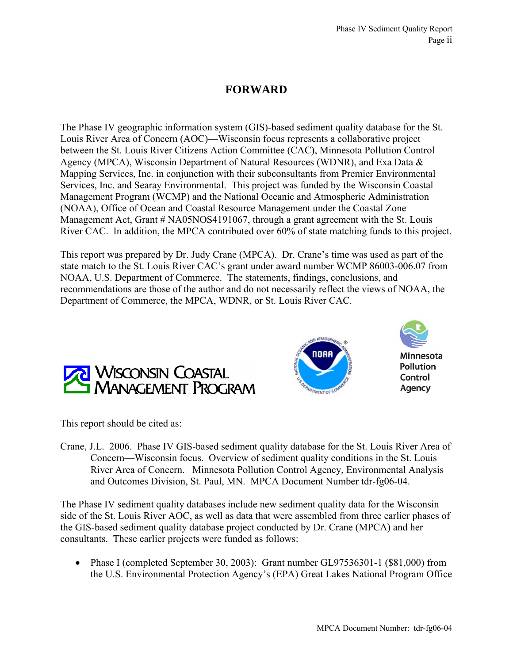# **FORWARD**

The Phase IV geographic information system (GIS)-based sediment quality database for the St. Louis River Area of Concern (AOC)—Wisconsin focus represents a collaborative project between the St. Louis River Citizens Action Committee (CAC), Minnesota Pollution Control Agency (MPCA), Wisconsin Department of Natural Resources (WDNR), and Exa Data & Mapping Services, Inc. in conjunction with their subconsultants from Premier Environmental Services, Inc. and Searay Environmental. This project was funded by the Wisconsin Coastal Management Program (WCMP) and the National Oceanic and Atmospheric Administration (NOAA), Office of Ocean and Coastal Resource Management under the Coastal Zone Management Act, Grant # NA05NOS4191067, through a grant agreement with the St. Louis River CAC. In addition, the MPCA contributed over 60% of state matching funds to this project.

This report was prepared by Dr. Judy Crane (MPCA). Dr. Crane's time was used as part of the state match to the St. Louis River CAC's grant under award number WCMP 86003-006.07 from NOAA, U.S. Department of Commerce. The statements, findings, conclusions, and recommendations are those of the author and do not necessarily reflect the views of NOAA, the Department of Commerce, the MPCA, WDNR, or St. Louis River CAC.







This report should be cited as:

Crane, J.L. 2006. Phase IV GIS-based sediment quality database for the St. Louis River Area of Concern—Wisconsin focus. Overview of sediment quality conditions in the St. Louis River Area of Concern. Minnesota Pollution Control Agency, Environmental Analysis and Outcomes Division, St. Paul, MN. MPCA Document Number tdr-fg06-04.

The Phase IV sediment quality databases include new sediment quality data for the Wisconsin side of the St. Louis River AOC, as well as data that were assembled from three earlier phases of the GIS-based sediment quality database project conducted by Dr. Crane (MPCA) and her consultants. These earlier projects were funded as follows:

• Phase I (completed September 30, 2003): Grant number GL97536301-1 (\$81,000) from the U.S. Environmental Protection Agency's (EPA) Great Lakes National Program Office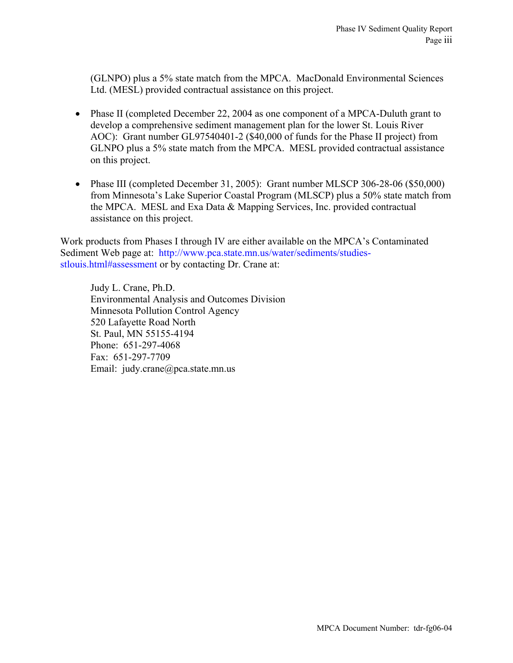(GLNPO) plus a 5% state match from the MPCA. MacDonald Environmental Sciences Ltd. (MESL) provided contractual assistance on this project.

- Phase II (completed December 22, 2004 as one component of a MPCA-Duluth grant to develop a comprehensive sediment management plan for the lower St. Louis River AOC): Grant number GL97540401-2 (\$40,000 of funds for the Phase II project) from GLNPO plus a 5% state match from the MPCA. MESL provided contractual assistance on this project.
- Phase III (completed December 31, 2005): Grant number MLSCP 306-28-06 (\$50,000) from Minnesota's Lake Superior Coastal Program (MLSCP) plus a 50% state match from the MPCA. MESL and Exa Data & Mapping Services, Inc. provided contractual assistance on this project.

Work products from Phases I through IV are either available on the MPCA's Contaminated Sediment Web page at: [http://www.pca.state.mn.us/water/sediments/studies](http://www.pca.state.mn.us/water/sediments/studies-stlouis.html#assessment)[stlouis.html#assessment](http://www.pca.state.mn.us/water/sediments/studies-stlouis.html#assessment) or by contacting Dr. Crane at:

Judy L. Crane, Ph.D. Environmental Analysis and Outcomes Division Minnesota Pollution Control Agency 520 Lafayette Road North St. Paul, MN 55155-4194 Phone: 651-297-4068 Fax: 651-297-7709 Email: judy.crane@pca.state.mn.us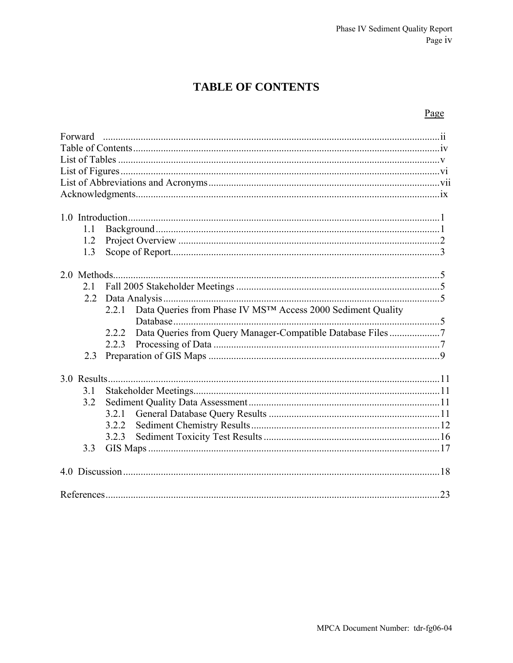# **TABLE OF CONTENTS**

# Page

| Forward |                                                                       |  |  |  |  |
|---------|-----------------------------------------------------------------------|--|--|--|--|
|         |                                                                       |  |  |  |  |
| 1.1     |                                                                       |  |  |  |  |
| 1.2     |                                                                       |  |  |  |  |
| 1.3     |                                                                       |  |  |  |  |
|         |                                                                       |  |  |  |  |
|         |                                                                       |  |  |  |  |
| 2.1     |                                                                       |  |  |  |  |
| 2.2     |                                                                       |  |  |  |  |
|         | Data Queries from Phase IV MSTM Access 2000 Sediment Quality<br>2.2.1 |  |  |  |  |
|         | Data Queries from Query Manager-Compatible Database Files 7<br>2.2.2  |  |  |  |  |
|         | 2.2.3                                                                 |  |  |  |  |
| 2.3     |                                                                       |  |  |  |  |
|         |                                                                       |  |  |  |  |
|         |                                                                       |  |  |  |  |
| 3.1     |                                                                       |  |  |  |  |
| 3.2     |                                                                       |  |  |  |  |
|         | 3.2.1                                                                 |  |  |  |  |
|         | 3.2.2                                                                 |  |  |  |  |
|         | 3.2.3                                                                 |  |  |  |  |
| 3.3     |                                                                       |  |  |  |  |
|         |                                                                       |  |  |  |  |
|         |                                                                       |  |  |  |  |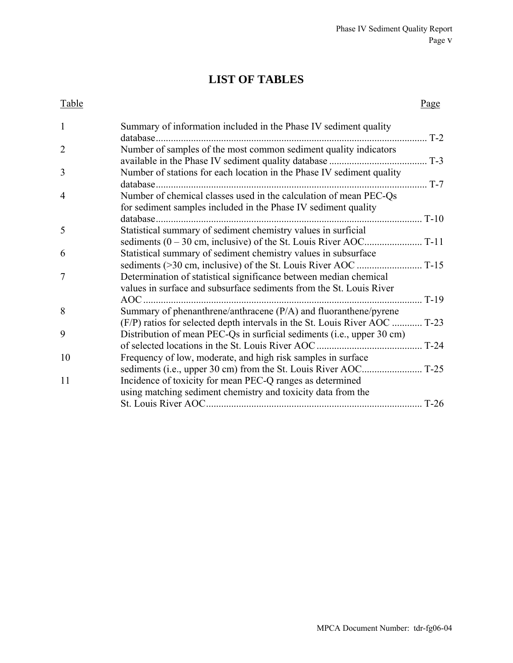# **LIST OF TABLES**

#### Table Page

| 1              | Summary of information included in the Phase IV sediment quality<br>database.                                                       | $T-2$            |
|----------------|-------------------------------------------------------------------------------------------------------------------------------------|------------------|
| $\overline{2}$ | Number of samples of the most common sediment quality indicators                                                                    | $T-3$            |
| 3              | Number of stations for each location in the Phase IV sediment quality<br>database.                                                  | $\therefore$ T-7 |
| $\overline{4}$ | Number of chemical classes used in the calculation of mean PEC-Qs<br>for sediment samples included in the Phase IV sediment quality |                  |
|                | database                                                                                                                            | $T-10$           |
| 5              | Statistical summary of sediment chemistry values in surficial                                                                       |                  |
|                |                                                                                                                                     | $T-11$           |
| 6              | Statistical summary of sediment chemistry values in subsurface                                                                      |                  |
|                | $\ldots$ T-15<br>sediments (>30 cm, inclusive) of the St. Louis River AOC                                                           |                  |
| 7              | Determination of statistical significance between median chemical                                                                   |                  |
|                | values in surface and subsurface sediments from the St. Louis River                                                                 |                  |
|                | AOC.                                                                                                                                | $T-19$           |
| 8              | Summary of phenanthrene/anthracene $(P/A)$ and fluoranthene/pyrene                                                                  |                  |
|                | (F/P) ratios for selected depth intervals in the St. Louis River AOC                                                                | $T-23$           |
| 9              | Distribution of mean PEC-Qs in surficial sediments (i.e., upper 30 cm)                                                              |                  |
|                | of selected locations in the St. Louis River AOC.                                                                                   | $T-24$           |
| 10             | Frequency of low, moderate, and high risk samples in surface                                                                        |                  |
|                |                                                                                                                                     |                  |
| 11             | Incidence of toxicity for mean PEC-Q ranges as determined                                                                           |                  |
|                | using matching sediment chemistry and toxicity data from the                                                                        |                  |
|                |                                                                                                                                     | $T-26$           |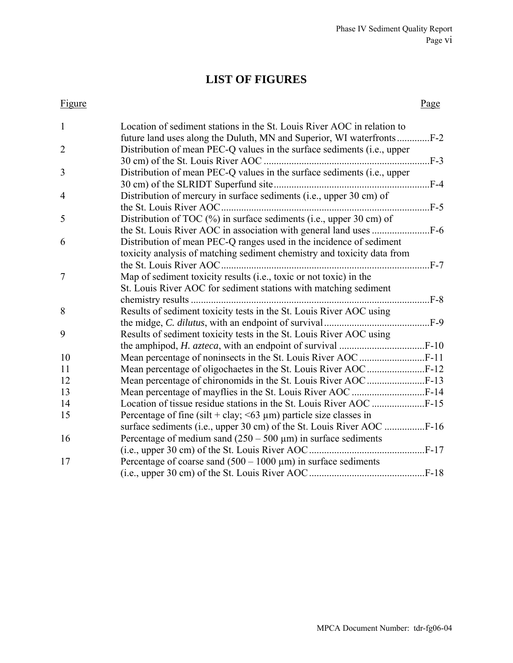# **LIST OF FIGURES**

#### Figure Page

| $\mathbf{1}$   | Location of sediment stations in the St. Louis River AOC in relation to     |                |
|----------------|-----------------------------------------------------------------------------|----------------|
|                |                                                                             |                |
| $\overline{2}$ | Distribution of mean PEC-Q values in the surface sediments (i.e., upper     |                |
|                | 30 cm) of the St. Louis River AOC                                           |                |
| 3              | Distribution of mean PEC-Q values in the surface sediments (i.e., upper     |                |
|                |                                                                             | $F-4$          |
| $\overline{4}$ | Distribution of mercury in surface sediments (i.e., upper 30 cm) of         |                |
|                |                                                                             |                |
| 5              | Distribution of TOC (%) in surface sediments (i.e., upper 30 cm) of         |                |
|                |                                                                             |                |
| 6              | Distribution of mean PEC-Q ranges used in the incidence of sediment         |                |
|                | toxicity analysis of matching sediment chemistry and toxicity data from     |                |
|                |                                                                             |                |
| $\overline{7}$ | Map of sediment toxicity results (i.e., toxic or not toxic) in the          |                |
|                | St. Louis River AOC for sediment stations with matching sediment            |                |
|                |                                                                             | $\ldots$ $F-8$ |
| 8              | Results of sediment toxicity tests in the St. Louis River AOC using         |                |
|                |                                                                             |                |
| 9              | Results of sediment toxicity tests in the St. Louis River AOC using         |                |
|                |                                                                             |                |
| 10             |                                                                             |                |
| 11             |                                                                             |                |
| 12             |                                                                             |                |
| 13             |                                                                             |                |
| 14             |                                                                             |                |
| 15             | Percentage of fine (silt + clay; $\leq 63 \mu m$ ) particle size classes in |                |
|                |                                                                             |                |
| 16             | Percentage of medium sand $(250 - 500 \,\mu\text{m})$ in surface sediments  |                |
|                |                                                                             |                |
| 17             | Percentage of coarse sand $(500 - 1000 \,\mu m)$ in surface sediments       |                |
|                |                                                                             |                |
|                |                                                                             |                |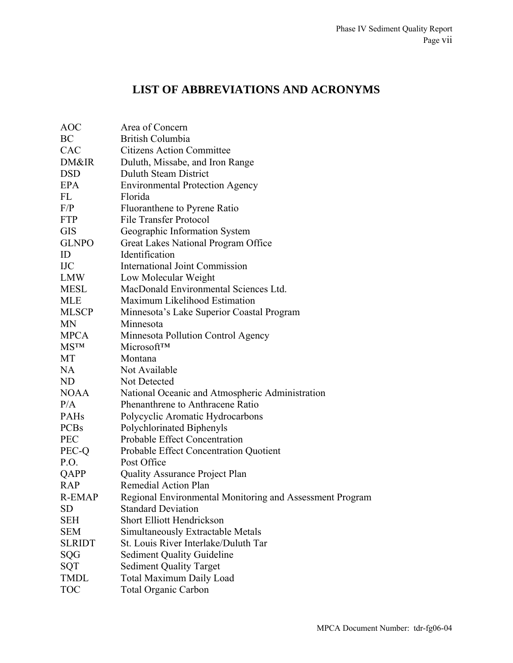# **LIST OF ABBREVIATIONS AND ACRONYMS**

| <b>AOC</b>    | Area of Concern                                          |
|---------------|----------------------------------------------------------|
| BC            | British Columbia                                         |
| CAC           | <b>Citizens Action Committee</b>                         |
| DM&IR         | Duluth, Missabe, and Iron Range                          |
| <b>DSD</b>    | <b>Duluth Steam District</b>                             |
| EPA           | <b>Environmental Protection Agency</b>                   |
| FL            | Florida                                                  |
| F/P           | Fluoranthene to Pyrene Ratio                             |
| <b>FTP</b>    | <b>File Transfer Protocol</b>                            |
| <b>GIS</b>    | Geographic Information System                            |
| <b>GLNPO</b>  | Great Lakes National Program Office                      |
| ID            | Identification                                           |
| <b>IJC</b>    | <b>International Joint Commission</b>                    |
| <b>LMW</b>    | Low Molecular Weight                                     |
| <b>MESL</b>   | MacDonald Environmental Sciences Ltd.                    |
| <b>MLE</b>    | Maximum Likelihood Estimation                            |
| <b>MLSCP</b>  | Minnesota's Lake Superior Coastal Program                |
| <b>MN</b>     | Minnesota                                                |
| <b>MPCA</b>   | Minnesota Pollution Control Agency                       |
| <b>MSTM</b>   | Microsoft™                                               |
| MT            | Montana                                                  |
| <b>NA</b>     | Not Available                                            |
| ND            | Not Detected                                             |
| <b>NOAA</b>   | National Oceanic and Atmospheric Administration          |
| P/A           | Phenanthrene to Anthracene Ratio                         |
| <b>PAHs</b>   | Polycyclic Aromatic Hydrocarbons                         |
| <b>PCBs</b>   | Polychlorinated Biphenyls                                |
| <b>PEC</b>    | Probable Effect Concentration                            |
| PEC-Q         | Probable Effect Concentration Quotient                   |
| P.O.          | Post Office                                              |
| QAPP          | <b>Quality Assurance Project Plan</b>                    |
| <b>RAP</b>    | Remedial Action Plan                                     |
| R-EMAP        | Regional Environmental Monitoring and Assessment Program |
| SD            | <b>Standard Deviation</b>                                |
| <b>SEH</b>    | <b>Short Elliott Hendrickson</b>                         |
| <b>SEM</b>    | Simultaneously Extractable Metals                        |
| <b>SLRIDT</b> | St. Louis River Interlake/Duluth Tar                     |
| SQG           | <b>Sediment Quality Guideline</b>                        |
| SQT           | <b>Sediment Quality Target</b>                           |
| <b>TMDL</b>   | <b>Total Maximum Daily Load</b>                          |
| <b>TOC</b>    | <b>Total Organic Carbon</b>                              |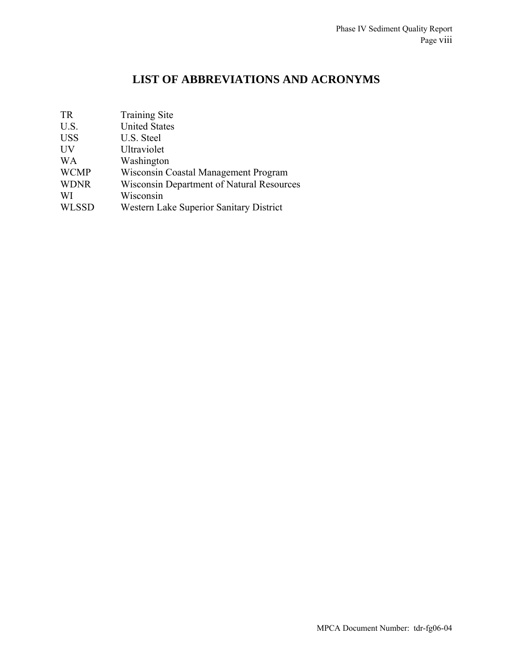# **LIST OF ABBREVIATIONS AND ACRONYMS**

| <b>TR</b>    | <b>Training Site</b>                             |
|--------------|--------------------------------------------------|
| U.S.         | <b>United States</b>                             |
| <b>USS</b>   | U.S. Steel                                       |
| UV           | Ultraviolet                                      |
| <b>WA</b>    | Washington                                       |
| <b>WCMP</b>  | Wisconsin Coastal Management Program             |
| <b>WDNR</b>  | <b>Wisconsin Department of Natural Resources</b> |
| WI           | Wisconsin                                        |
| <b>WLSSD</b> | Western Lake Superior Sanitary District          |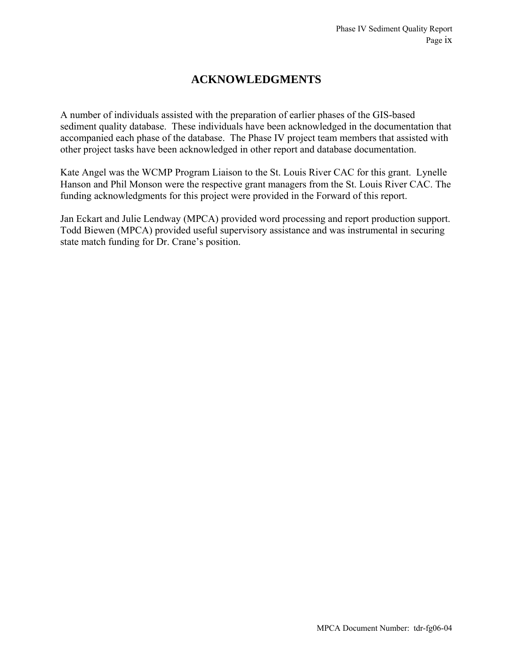# **ACKNOWLEDGMENTS**

A number of individuals assisted with the preparation of earlier phases of the GIS-based sediment quality database. These individuals have been acknowledged in the documentation that accompanied each phase of the database. The Phase IV project team members that assisted with other project tasks have been acknowledged in other report and database documentation.

Kate Angel was the WCMP Program Liaison to the St. Louis River CAC for this grant. Lynelle Hanson and Phil Monson were the respective grant managers from the St. Louis River CAC. The funding acknowledgments for this project were provided in the Forward of this report.

Jan Eckart and Julie Lendway (MPCA) provided word processing and report production support. Todd Biewen (MPCA) provided useful supervisory assistance and was instrumental in securing state match funding for Dr. Crane's position.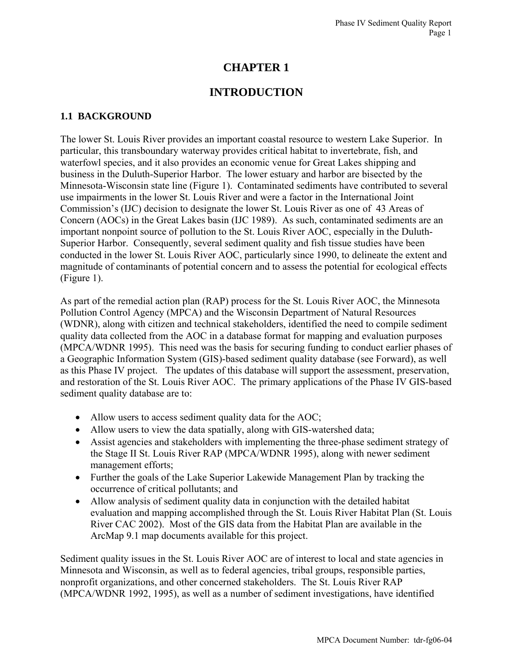# **CHAPTER 1**

# **INTRODUCTION**

# **1.1 BACKGROUND**

The lower St. Louis River provides an important coastal resource to western Lake Superior. In particular, this transboundary waterway provides critical habitat to invertebrate, fish, and waterfowl species, and it also provides an economic venue for Great Lakes shipping and business in the Duluth-Superior Harbor. The lower estuary and harbor are bisected by the Minnesota-Wisconsin state line (Figure 1). Contaminated sediments have contributed to several use impairments in the lower St. Louis River and were a factor in the International Joint Commission's (IJC) decision to designate the lower St. Louis River as one of 43 Areas of Concern (AOCs) in the Great Lakes basin (IJC 1989). As such, contaminated sediments are an important nonpoint source of pollution to the St. Louis River AOC, especially in the Duluth-Superior Harbor. Consequently, several sediment quality and fish tissue studies have been conducted in the lower St. Louis River AOC, particularly since 1990, to delineate the extent and magnitude of contaminants of potential concern and to assess the potential for ecological effects (Figure 1).

As part of the remedial action plan (RAP) process for the St. Louis River AOC, the Minnesota Pollution Control Agency (MPCA) and the Wisconsin Department of Natural Resources (WDNR), along with citizen and technical stakeholders, identified the need to compile sediment quality data collected from the AOC in a database format for mapping and evaluation purposes (MPCA/WDNR 1995). This need was the basis for securing funding to conduct earlier phases of a Geographic Information System (GIS)-based sediment quality database (see Forward), as well as this Phase IV project. The updates of this database will support the assessment, preservation, and restoration of the St. Louis River AOC. The primary applications of the Phase IV GIS-based sediment quality database are to:

- Allow users to access sediment quality data for the AOC;
- Allow users to view the data spatially, along with GIS-watershed data;
- Assist agencies and stakeholders with implementing the three-phase sediment strategy of the Stage II St. Louis River RAP (MPCA/WDNR 1995), along with newer sediment management efforts;
- Further the goals of the Lake Superior Lakewide Management Plan by tracking the occurrence of critical pollutants; and
- Allow analysis of sediment quality data in conjunction with the detailed habitat evaluation and mapping accomplished through the St. Louis River Habitat Plan (St. Louis River CAC 2002). Most of the GIS data from the Habitat Plan are available in the ArcMap 9.1 map documents available for this project.

Sediment quality issues in the St. Louis River AOC are of interest to local and state agencies in Minnesota and Wisconsin, as well as to federal agencies, tribal groups, responsible parties, nonprofit organizations, and other concerned stakeholders. The St. Louis River RAP (MPCA/WDNR 1992, 1995), as well as a number of sediment investigations, have identified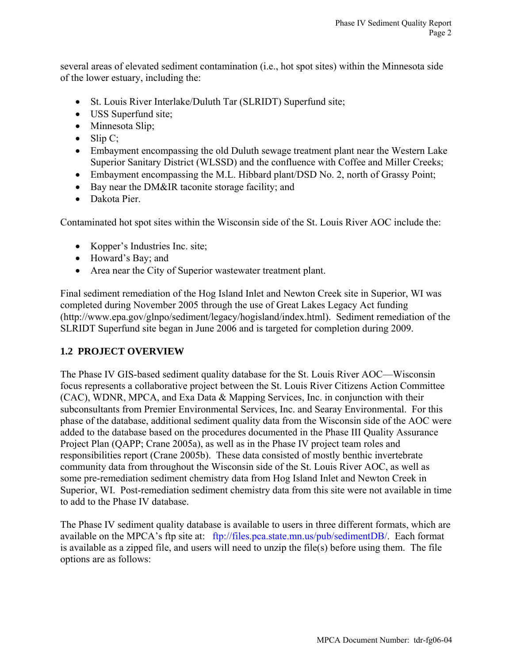several areas of elevated sediment contamination (i.e., hot spot sites) within the Minnesota side of the lower estuary, including the:

- St. Louis River Interlake/Duluth Tar (SLRIDT) Superfund site;
- USS Superfund site;
- Minnesota Slip;
- $\bullet$  Slip C;
- Embayment encompassing the old Duluth sewage treatment plant near the Western Lake Superior Sanitary District (WLSSD) and the confluence with Coffee and Miller Creeks;
- Embayment encompassing the M.L. Hibbard plant/DSD No. 2, north of Grassy Point;
- Bay near the DM&IR taconite storage facility; and
- Dakota Pier.

Contaminated hot spot sites within the Wisconsin side of the St. Louis River AOC include the:

- Kopper's Industries Inc. site;
- Howard's Bay; and
- Area near the City of Superior wastewater treatment plant.

Final sediment remediation of the Hog Island Inlet and Newton Creek site in Superior, WI was completed during November 2005 through the use of Great Lakes Legacy Act funding (http://www.epa.gov/glnpo/sediment/legacy/hogisland/index.html). Sediment remediation of the SLRIDT Superfund site began in June 2006 and is targeted for completion during 2009.

## **1.2 PROJECT OVERVIEW**

The Phase IV GIS-based sediment quality database for the St. Louis River AOC—Wisconsin focus represents a collaborative project between the St. Louis River Citizens Action Committee (CAC), WDNR, MPCA, and Exa Data & Mapping Services, Inc. in conjunction with their subconsultants from Premier Environmental Services, Inc. and Searay Environmental. For this phase of the database, additional sediment quality data from the Wisconsin side of the AOC were added to the database based on the procedures documented in the Phase III Quality Assurance Project Plan (QAPP; Crane 2005a), as well as in the Phase IV project team roles and responsibilities report (Crane 2005b). These data consisted of mostly benthic invertebrate community data from throughout the Wisconsin side of the St. Louis River AOC, as well as some pre-remediation sediment chemistry data from Hog Island Inlet and Newton Creek in Superior, WI. Post-remediation sediment chemistry data from this site were not available in time to add to the Phase IV database.

The Phase IV sediment quality database is available to users in three different formats, which are available on the MPCA's ftp site at: <ftp://files.pca.state.mn.us/pub/sedimentDB/>. Each format is available as a zipped file, and users will need to unzip the file(s) before using them. The file options are as follows: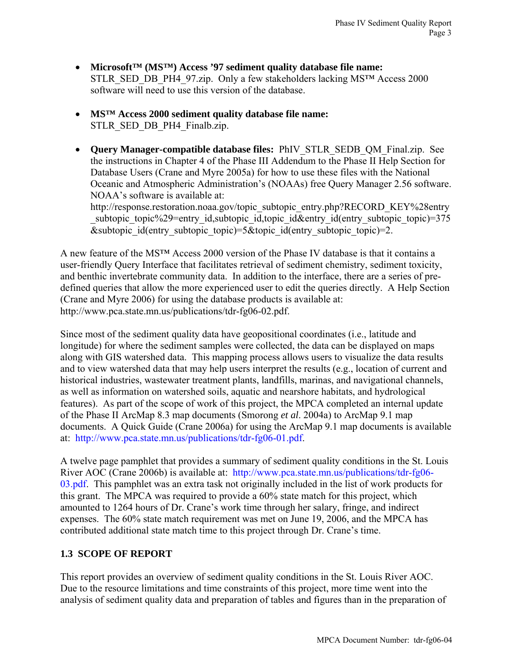- **Microsoft™ (MS™) Access '97 sediment quality database file name:** STLR\_SED\_DB\_PH4\_97.zip. Only a few stakeholders lacking MS™ Access 2000 software will need to use this version of the database.
- **MS™ Access 2000 sediment quality database file name:** STLR\_SED\_DB\_PH4\_Finalb.zip.
- **Query Manager-compatible database files:** PhIV\_STLR\_SEDB\_QM\_Final.zip. See the instructions in Chapter 4 of the Phase III Addendum to the Phase II Help Section for Database Users (Crane and Myre 2005a) for how to use these files with the National Oceanic and Atmospheric Administration's (NOAAs) free Query Manager 2.56 software. NOAA's software is available at:

http://response.restoration.noaa.gov/topic\_subtopic\_entry.php?RECORD\_KEY%28entry subtopic topic%29=entry id, subtopic id, topic id&entry id(entry subtopic topic)=375 &subtopic id(entry subtopic topic)=5&topic id(entry subtopic topic)=2.

A new feature of the MS™ Access 2000 version of the Phase IV database is that it contains a user-friendly Query Interface that facilitates retrieval of sediment chemistry, sediment toxicity, and benthic invertebrate community data. In addition to the interface, there are a series of predefined queries that allow the more experienced user to edit the queries directly. A Help Section (Crane and Myre 2006) for using the database products is available at: http://www.pca.state.mn.us/publications/tdr-fg06-02.pdf.

Since most of the sediment quality data have geopositional coordinates (i.e., latitude and longitude) for where the sediment samples were collected, the data can be displayed on maps along with GIS watershed data. This mapping process allows users to visualize the data results and to view watershed data that may help users interpret the results (e.g., location of current and historical industries, wastewater treatment plants, landfills, marinas, and navigational channels, as well as information on watershed soils, aquatic and nearshore habitats, and hydrological features). As part of the scope of work of this project, the MPCA completed an internal update of the Phase II ArcMap 8.3 map documents (Smorong *et al*. 2004a) to ArcMap 9.1 map documents. A Quick Guide (Crane 2006a) for using the ArcMap 9.1 map documents is available at: [http://www.pca.state.mn.us/publications/tdr-fg06-01.pdf.](http://www.pca.state.mn.us/publications/tdr-fg06-01.pdf)

A twelve page pamphlet that provides a summary of sediment quality conditions in the St. Louis River AOC (Crane 2006b) is available at: [http://www.pca.state.mn.us/publications/tdr-fg06-](http://www.pca.state.mn.us/publications/tdr-fg06-03.pdf) [03.pdf.](http://www.pca.state.mn.us/publications/tdr-fg06-03.pdf) This pamphlet was an extra task not originally included in the list of work products for this grant. The MPCA was required to provide a 60% state match for this project, which amounted to 1264 hours of Dr. Crane's work time through her salary, fringe, and indirect expenses. The 60% state match requirement was met on June 19, 2006, and the MPCA has contributed additional state match time to this project through Dr. Crane's time.

# **1.3 SCOPE OF REPORT**

This report provides an overview of sediment quality conditions in the St. Louis River AOC. Due to the resource limitations and time constraints of this project, more time went into the analysis of sediment quality data and preparation of tables and figures than in the preparation of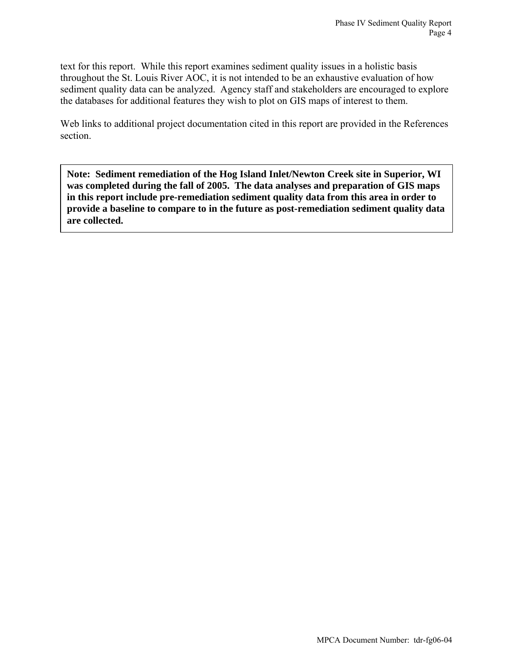text for this report. While this report examines sediment quality issues in a holistic basis throughout the St. Louis River AOC, it is not intended to be an exhaustive evaluation of how sediment quality data can be analyzed. Agency staff and stakeholders are encouraged to explore the databases for additional features they wish to plot on GIS maps of interest to them.

Web links to additional project documentation cited in this report are provided in the References section.

**Note: Sediment remediation of the Hog Island Inlet/Newton Creek site in Superior, WI was completed during the fall of 2005. The data analyses and preparation of GIS maps in this report include pre-remediation sediment quality data from this area in order to provide a baseline to compare to in the future as post-remediation sediment quality data are collected.**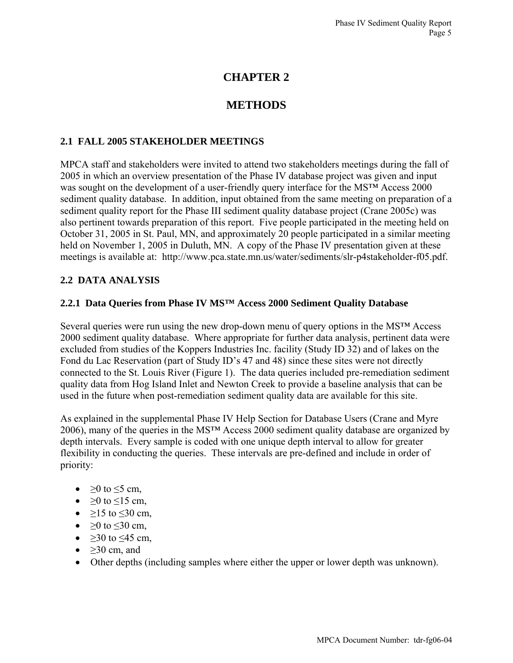# **CHAPTER 2**

# **METHODS**

## **2.1 FALL 2005 STAKEHOLDER MEETINGS**

MPCA staff and stakeholders were invited to attend two stakeholders meetings during the fall of 2005 in which an overview presentation of the Phase IV database project was given and input was sought on the development of a user-friendly query interface for the MS™ Access 2000 sediment quality database. In addition, input obtained from the same meeting on preparation of a sediment quality report for the Phase III sediment quality database project (Crane 2005c) was also pertinent towards preparation of this report. Five people participated in the meeting held on October 31, 2005 in St. Paul, MN, and approximately 20 people participated in a similar meeting held on November 1, 2005 in Duluth, MN. A copy of the Phase IV presentation given at these meetings is available at: http://www.pca.state.mn.us/water/sediments/slr-p4stakeholder-f05.pdf.

## **2.2 DATA ANALYSIS**

### **2.2.1 Data Queries from Phase IV MS™ Access 2000 Sediment Quality Database**

Several queries were run using the new drop-down menu of query options in the MS™ Access 2000 sediment quality database. Where appropriate for further data analysis, pertinent data were excluded from studies of the Koppers Industries Inc. facility (Study ID 32) and of lakes on the Fond du Lac Reservation (part of Study ID's 47 and 48) since these sites were not directly connected to the St. Louis River (Figure 1). The data queries included pre-remediation sediment quality data from Hog Island Inlet and Newton Creek to provide a baseline analysis that can be used in the future when post-remediation sediment quality data are available for this site.

As explained in the supplemental Phase IV Help Section for Database Users (Crane and Myre 2006), many of the queries in the MS™ Access 2000 sediment quality database are organized by depth intervals. Every sample is coded with one unique depth interval to allow for greater flexibility in conducting the queries. These intervals are pre-defined and include in order of priority:

- $\geq 0$  to  $\leq 5$  cm,
- $\geq 0$  to  $\leq 15$  cm,
- $\geq 15$  to  $\leq 30$  cm,
- $\geq 0$  to  $\leq 30$  cm,
- $\geq$ 30 to  $\leq$ 45 cm,
- $>30$  cm, and
- Other depths (including samples where either the upper or lower depth was unknown).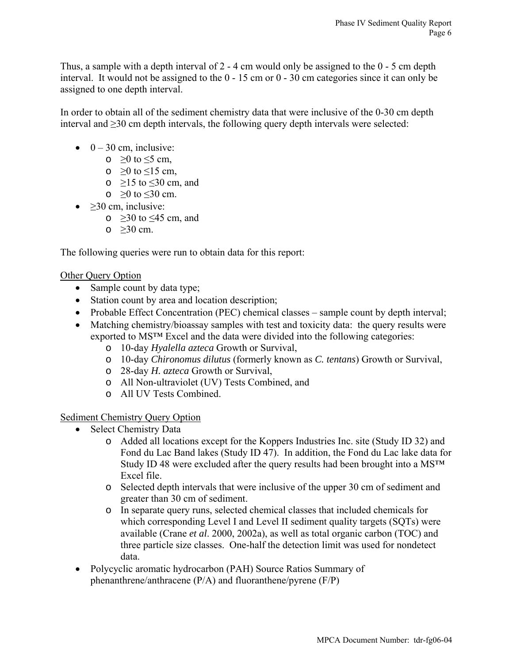Thus, a sample with a depth interval of 2 - 4 cm would only be assigned to the 0 - 5 cm depth interval. It would not be assigned to the 0 - 15 cm or 0 - 30 cm categories since it can only be assigned to one depth interval.

In order to obtain all of the sediment chemistry data that were inclusive of the 0-30 cm depth interval and ≥30 cm depth intervals, the following query depth intervals were selected:

- $\bullet$  0 30 cm, inclusive:
	- $\circ$  ≥0 to ≤5 cm,
	- $\circ$  >0 to ≤15 cm,
	- $\circ$  ≥15 to ≤30 cm, and
	- $\circ$  ≥0 to ≤30 cm.
- $\geq$ 30 cm, inclusive:
	- $\circ$  ≥30 to ≤45 cm, and
	- $\circ$   $>30$  cm.

The following queries were run to obtain data for this report:

## Other Query Option

- Sample count by data type;
- Station count by area and location description;
- Probable Effect Concentration (PEC) chemical classes sample count by depth interval;
- Matching chemistry/bioassay samples with test and toxicity data: the query results were exported to MS™ Excel and the data were divided into the following categories:
	- o 10-day *Hyalella azteca* Growth or Survival,
	- o 10-day *Chironomus dilutus* (formerly known as *C. tentans*) Growth or Survival,
	- o 28-day *H. azteca* Growth or Survival,
	- o All Non-ultraviolet (UV) Tests Combined, and
	- o All UV Tests Combined.

## Sediment Chemistry Query Option

- Select Chemistry Data
	- o Added all locations except for the Koppers Industries Inc. site (Study ID 32) and Fond du Lac Band lakes (Study ID 47). In addition, the Fond du Lac lake data for Study ID 48 were excluded after the query results had been brought into a MS<sup>™</sup> Excel file.
	- o Selected depth intervals that were inclusive of the upper 30 cm of sediment and greater than 30 cm of sediment.
	- o In separate query runs, selected chemical classes that included chemicals for which corresponding Level I and Level II sediment quality targets (SQTs) were available (Crane *et al*. 2000, 2002a), as well as total organic carbon (TOC) and three particle size classes. One-half the detection limit was used for nondetect data.
- Polycyclic aromatic hydrocarbon (PAH) Source Ratios Summary of phenanthrene/anthracene (P/A) and fluoranthene/pyrene (F/P)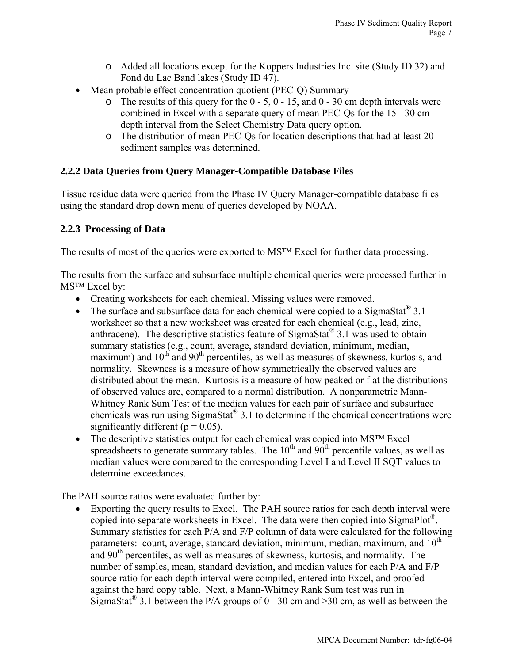- o Added all locations except for the Koppers Industries Inc. site (Study ID 32) and Fond du Lac Band lakes (Study ID 47).
- Mean probable effect concentration quotient (PEC-Q) Summary
	- $\circ$  The results of this query for the 0 5, 0 15, and 0 30 cm depth intervals were combined in Excel with a separate query of mean PEC-Qs for the 15 - 30 cm depth interval from the Select Chemistry Data query option.
	- o The distribution of mean PEC-Qs for location descriptions that had at least 20 sediment samples was determined.

## **2.2.2 Data Queries from Query Manager-Compatible Database Files**

Tissue residue data were queried from the Phase IV Query Manager-compatible database files using the standard drop down menu of queries developed by NOAA.

## **2.2.3 Processing of Data**

The results of most of the queries were exported to MS™ Excel for further data processing.

The results from the surface and subsurface multiple chemical queries were processed further in MS™ Excel by:

- Creating worksheets for each chemical. Missing values were removed.
- The surface and subsurface data for each chemical were copied to a SigmaStat<sup>®</sup> 3.1 worksheet so that a new worksheet was created for each chemical (e.g., lead, zinc, anthracene). The descriptive statistics feature of SigmaStat® 3.1 was used to obtain summary statistics (e.g., count, average, standard deviation, minimum, median, maximum) and  $10<sup>th</sup>$  and  $90<sup>th</sup>$  percentiles, as well as measures of skewness, kurtosis, and normality. Skewness is a measure of how symmetrically the observed values are distributed about the mean. Kurtosis is a measure of how peaked or flat the distributions of observed values are, compared to a normal distribution. A nonparametric Mann-Whitney Rank Sum Test of the median values for each pair of surface and subsurface chemicals was run using  $Sigma(3.1$  to determine if the chemical concentrations were significantly different ( $p = 0.05$ ).
- The descriptive statistics output for each chemical was copied into MS<sup>TM</sup> Excel spreadsheets to generate summary tables. The  $10<sup>th</sup>$  and  $90<sup>th</sup>$  percentile values, as well as median values were compared to the corresponding Level I and Level II SQT values to determine exceedances.

The PAH source ratios were evaluated further by:

• Exporting the query results to Excel. The PAH source ratios for each depth interval were copied into separate worksheets in Excel. The data were then copied into SigmaPlot®. Summary statistics for each P/A and F/P column of data were calculated for the following parameters: count, average, standard deviation, minimum, median, maximum, and  $10<sup>th</sup>$ and  $90<sup>th</sup>$  percentiles, as well as measures of skewness, kurtosis, and normality. The number of samples, mean, standard deviation, and median values for each P/A and F/P source ratio for each depth interval were compiled, entered into Excel, and proofed against the hard copy table. Next, a Mann-Whitney Rank Sum test was run in SigmaStat<sup>®</sup> 3.1 between the P/A groups of 0 - 30 cm and > 30 cm, as well as between the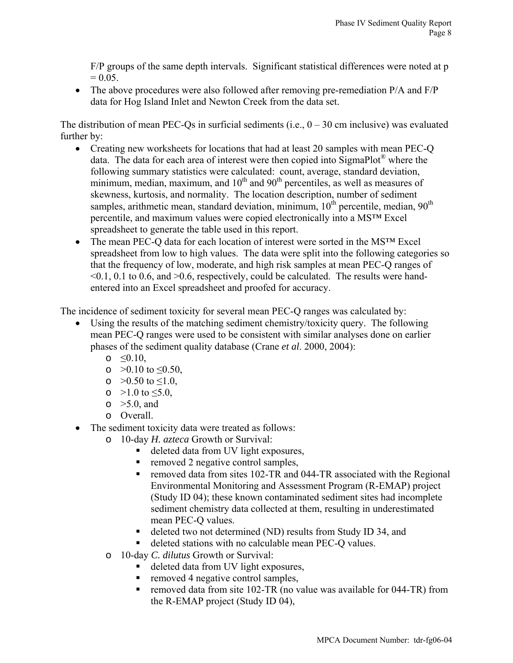F/P groups of the same depth intervals. Significant statistical differences were noted at p  $= 0.05.$ 

• The above procedures were also followed after removing pre-remediation  $P/A$  and  $F/P$ data for Hog Island Inlet and Newton Creek from the data set.

The distribution of mean PEC-Qs in surficial sediments (i.e.,  $0 - 30$  cm inclusive) was evaluated further by:

- Creating new worksheets for locations that had at least 20 samples with mean PEC-Q data. The data for each area of interest were then copied into SigmaPlot® where the following summary statistics were calculated: count, average, standard deviation, minimum, median, maximum, and  $10<sup>th</sup>$  and  $90<sup>th</sup>$  percentiles, as well as measures of skewness, kurtosis, and normality. The location description, number of sediment samples, arithmetic mean, standard deviation, minimum,  $10^{th}$  percentile, median,  $90^{th}$ percentile, and maximum values were copied electronically into a MS™ Excel spreadsheet to generate the table used in this report.
- The mean PEC-Q data for each location of interest were sorted in the MS<sup>TM</sup> Excel spreadsheet from low to high values. The data were split into the following categories so that the frequency of low, moderate, and high risk samples at mean PEC-Q ranges of  $\leq 0.1, 0.1$  to 0.6, and  $\geq 0.6$ , respectively, could be calculated. The results were handentered into an Excel spreadsheet and proofed for accuracy.

The incidence of sediment toxicity for several mean PEC-Q ranges was calculated by:

- Using the results of the matching sediment chemistry/toxicity query. The following mean PEC-Q ranges were used to be consistent with similar analyses done on earlier phases of the sediment quality database (Crane *et al*. 2000, 2004):
	- $\circ$   $\leq 0.10$ ,
	- o  $>0.10$  to  $\leq 0.50$ ,
	- o  $>0.50$  to  $\leq 1.0$ ,
	- o  $>1.0$  to  $\leq 5.0$ ,
	- $\circ$   $>5.0$ , and
	- o Overall.
- The sediment toxicity data were treated as follows:
	- o 10-day *H. azteca* Growth or Survival:
		- deleted data from UV light exposures,
		- removed 2 negative control samples,
		- removed data from sites 102-TR and 044-TR associated with the Regional Environmental Monitoring and Assessment Program (R-EMAP) project (Study ID 04); these known contaminated sediment sites had incomplete sediment chemistry data collected at them, resulting in underestimated mean PEC-Q values.
		- deleted two not determined (ND) results from Study ID 34, and
		- deleted stations with no calculable mean PEC-Q values.
	- o 10-day *C. dilutus* Growth or Survival:
		- deleted data from UV light exposures,
		- removed 4 negative control samples,
		- removed data from site 102-TR (no value was available for 044-TR) from the R-EMAP project (Study ID 04),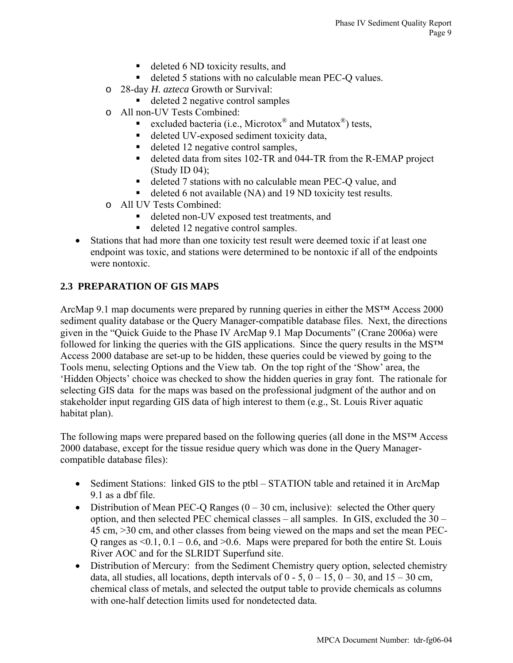- deleted 6 ND toxicity results, and
- deleted 5 stations with no calculable mean PEC-Q values.
- o 28-day *H. azteca* Growth or Survival:
	- deleted 2 negative control samples
- o All non-UV Tests Combined:
	- excluded bacteria (i.e., Microtox<sup>®</sup> and Mutatox<sup>®</sup>) tests,
	- deleted UV-exposed sediment toxicity data,
	- deleted 12 negative control samples,
	- deleted data from sites 102-TR and 044-TR from the R-EMAP project (Study ID 04);
	- deleted 7 stations with no calculable mean PEC-Q value, and
	- deleted 6 not available (NA) and 19 ND toxicity test results.
- o All UV Tests Combined:
	- deleted non-UV exposed test treatments, and
	- deleted 12 negative control samples.
- Stations that had more than one toxicity test result were deemed toxic if at least one endpoint was toxic, and stations were determined to be nontoxic if all of the endpoints were nontoxic.

## **2.3 PREPARATION OF GIS MAPS**

ArcMap 9.1 map documents were prepared by running queries in either the MS™ Access 2000 sediment quality database or the Query Manager-compatible database files. Next, the directions given in the "Quick Guide to the Phase IV ArcMap 9.1 Map Documents" (Crane 2006a) were followed for linking the queries with the GIS applications. Since the query results in the MS™ Access 2000 database are set-up to be hidden, these queries could be viewed by going to the Tools menu, selecting Options and the View tab. On the top right of the 'Show' area, the 'Hidden Objects' choice was checked to show the hidden queries in gray font. The rationale for selecting GIS data for the maps was based on the professional judgment of the author and on stakeholder input regarding GIS data of high interest to them (e.g., St. Louis River aquatic habitat plan).

The following maps were prepared based on the following queries (all done in the MS™ Access 2000 database, except for the tissue residue query which was done in the Query Managercompatible database files):

- Sediment Stations: linked GIS to the ptbl STATION table and retained it in ArcMap 9.1 as a dbf file.
- Distribution of Mean PEC-O Ranges  $(0 30 \text{ cm}, \text{inclusive})$ : selected the Other query option, and then selected PEC chemical classes – all samples. In GIS, excluded the 30 – 45 cm, >30 cm, and other classes from being viewed on the maps and set the mean PEC-Q ranges as  $\leq 0.1$ ,  $0.1 - 0.6$ , and  $\geq 0.6$ . Maps were prepared for both the entire St. Louis River AOC and for the SLRIDT Superfund site.
- Distribution of Mercury: from the Sediment Chemistry query option, selected chemistry data, all studies, all locations, depth intervals of  $0 - 5$ ,  $0 - 15$ ,  $0 - 30$ , and  $15 - 30$  cm, chemical class of metals, and selected the output table to provide chemicals as columns with one-half detection limits used for nondetected data.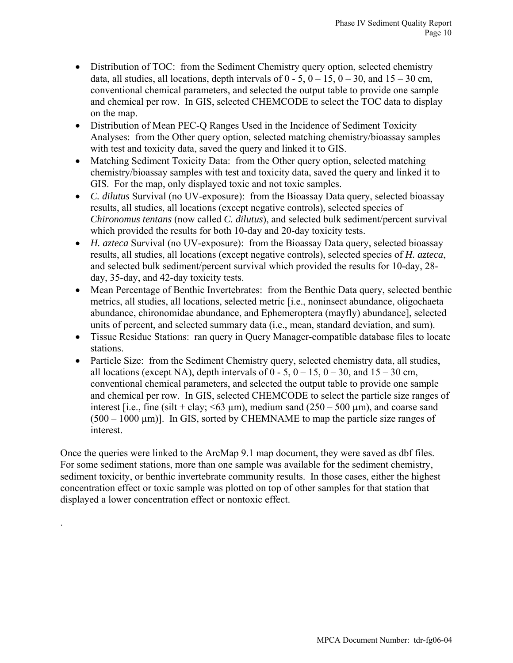- Distribution of TOC: from the Sediment Chemistry query option, selected chemistry data, all studies, all locations, depth intervals of  $0 - 5$ ,  $0 - 15$ ,  $0 - 30$ , and  $15 - 30$  cm, conventional chemical parameters, and selected the output table to provide one sample and chemical per row. In GIS, selected CHEMCODE to select the TOC data to display on the map.
- Distribution of Mean PEC-Q Ranges Used in the Incidence of Sediment Toxicity Analyses: from the Other query option, selected matching chemistry/bioassay samples with test and toxicity data, saved the query and linked it to GIS.
- Matching Sediment Toxicity Data: from the Other query option, selected matching chemistry/bioassay samples with test and toxicity data, saved the query and linked it to GIS. For the map, only displayed toxic and not toxic samples.
- *C. dilutus* Survival (no UV-exposure): from the Bioassay Data query, selected bioassay results, all studies, all locations (except negative controls), selected species of *Chironomus tentans* (now called *C. dilutus*), and selected bulk sediment/percent survival which provided the results for both 10-day and 20-day toxicity tests.
- *H. azteca* Survival (no UV-exposure): from the Bioassay Data query, selected bioassay results, all studies, all locations (except negative controls), selected species of *H. azteca*, and selected bulk sediment/percent survival which provided the results for 10-day, 28 day, 35-day, and 42-day toxicity tests.
- Mean Percentage of Benthic Invertebrates: from the Benthic Data query, selected benthic metrics, all studies, all locations, selected metric [i.e., noninsect abundance, oligochaeta abundance, chironomidae abundance, and Ephemeroptera (mayfly) abundance], selected units of percent, and selected summary data (i.e., mean, standard deviation, and sum).
- Tissue Residue Stations: ran query in Query Manager-compatible database files to locate stations.
- Particle Size: from the Sediment Chemistry query, selected chemistry data, all studies, all locations (except NA), depth intervals of  $0 - 5$ ,  $0 - 15$ ,  $0 - 30$ , and  $15 - 30$  cm, conventional chemical parameters, and selected the output table to provide one sample and chemical per row. In GIS, selected CHEMCODE to select the particle size ranges of interest [i.e., fine (silt + clay;  $\leq 63 \text{ µm}$ ), medium sand (250 – 500  $\text{µm}$ ), and coarse sand  $(500 - 1000 \,\mu m)$ . In GIS, sorted by CHEMNAME to map the particle size ranges of interest.

Once the queries were linked to the ArcMap 9.1 map document, they were saved as dbf files. For some sediment stations, more than one sample was available for the sediment chemistry, sediment toxicity, or benthic invertebrate community results. In those cases, either the highest concentration effect or toxic sample was plotted on top of other samples for that station that displayed a lower concentration effect or nontoxic effect.

.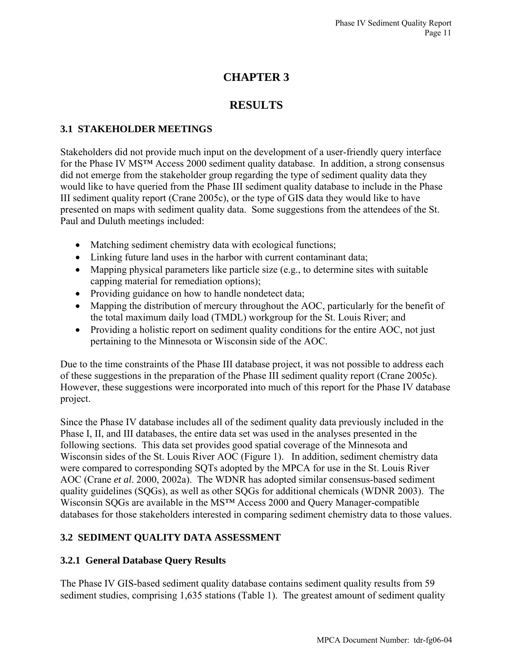# **CHAPTER 3**

# **RESULTS**

# **3.1 STAKEHOLDER MEETINGS**

Stakeholders did not provide much input on the development of a user-friendly query interface for the Phase IV MS™ Access 2000 sediment quality database. In addition, a strong consensus did not emerge from the stakeholder group regarding the type of sediment quality data they would like to have queried from the Phase III sediment quality database to include in the Phase III sediment quality report (Crane 2005c), or the type of GIS data they would like to have presented on maps with sediment quality data. Some suggestions from the attendees of the St. Paul and Duluth meetings included:

- Matching sediment chemistry data with ecological functions;
- Linking future land uses in the harbor with current contaminant data;
- Mapping physical parameters like particle size (e.g., to determine sites with suitable capping material for remediation options);
- Providing guidance on how to handle nondetect data;
- Mapping the distribution of mercury throughout the AOC, particularly for the benefit of the total maximum daily load (TMDL) workgroup for the St. Louis River; and
- Providing a holistic report on sediment quality conditions for the entire AOC, not just pertaining to the Minnesota or Wisconsin side of the AOC.

Due to the time constraints of the Phase III database project, it was not possible to address each of these suggestions in the preparation of the Phase III sediment quality report (Crane 2005c). However, these suggestions were incorporated into much of this report for the Phase IV database project.

Since the Phase IV database includes all of the sediment quality data previously included in the Phase I, II, and III databases, the entire data set was used in the analyses presented in the following sections. This data set provides good spatial coverage of the Minnesota and Wisconsin sides of the St. Louis River AOC (Figure 1). In addition, sediment chemistry data were compared to corresponding SQTs adopted by the MPCA for use in the St. Louis River AOC (Crane *et al*. 2000, 2002a). The WDNR has adopted similar consensus-based sediment quality guidelines (SQGs), as well as other SQGs for additional chemicals (WDNR 2003). The Wisconsin SQGs are available in the MS™ Access 2000 and Query Manager-compatible databases for those stakeholders interested in comparing sediment chemistry data to those values.

# **3.2 SEDIMENT QUALITY DATA ASSESSMENT**

## **3.2.1 General Database Query Results**

The Phase IV GIS-based sediment quality database contains sediment quality results from 59 sediment studies, comprising 1,635 stations (Table 1). The greatest amount of sediment quality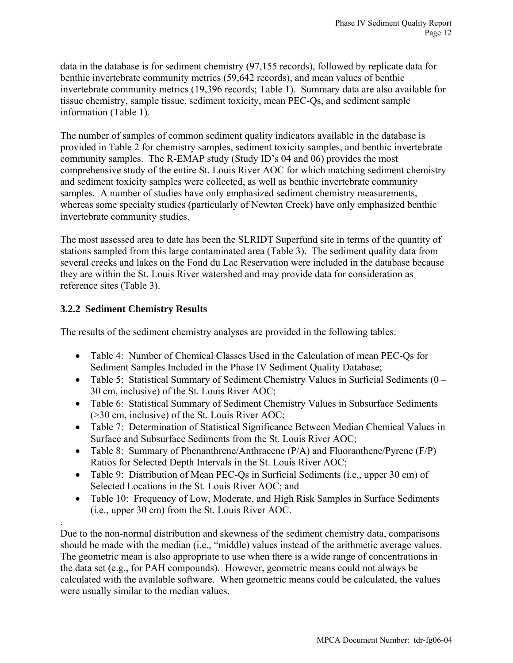data in the database is for sediment chemistry (97,155 records), followed by replicate data for benthic invertebrate community metrics (59,642 records), and mean values of benthic invertebrate community metrics (19,396 records; Table 1). Summary data are also available for tissue chemistry, sample tissue, sediment toxicity, mean PEC-Qs, and sediment sample information (Table 1).

The number of samples of common sediment quality indicators available in the database is provided in Table 2 for chemistry samples, sediment toxicity samples, and benthic invertebrate community samples. The R-EMAP study (Study ID's 04 and 06) provides the most comprehensive study of the entire St. Louis River AOC for which matching sediment chemistry and sediment toxicity samples were collected, as well as benthic invertebrate community samples. A number of studies have only emphasized sediment chemistry measurements, whereas some specialty studies (particularly of Newton Creek) have only emphasized benthic invertebrate community studies.

The most assessed area to date has been the SLRIDT Superfund site in terms of the quantity of stations sampled from this large contaminated area (Table 3). The sediment quality data from several creeks and lakes on the Fond du Lac Reservation were included in the database because they are within the St. Louis River watershed and may provide data for consideration as reference sites (Table 3).

# **3.2.2 Sediment Chemistry Results**

.

The results of the sediment chemistry analyses are provided in the following tables:

- Table 4: Number of Chemical Classes Used in the Calculation of mean PEC-Qs for Sediment Samples Included in the Phase IV Sediment Quality Database;
- Table 5: Statistical Summary of Sediment Chemistry Values in Surficial Sediments (0 30 cm, inclusive) of the St. Louis River AOC;
- Table 6: Statistical Summary of Sediment Chemistry Values in Subsurface Sediments (>30 cm, inclusive) of the St. Louis River AOC;
- Table 7: Determination of Statistical Significance Between Median Chemical Values in Surface and Subsurface Sediments from the St. Louis River AOC;
- Table 8: Summary of Phenanthrene/Anthracene (P/A) and Fluoranthene/Pyrene (F/P) Ratios for Selected Depth Intervals in the St. Louis River AOC;
- Table 9: Distribution of Mean PEC-Qs in Surficial Sediments (i.e., upper 30 cm) of Selected Locations in the St. Louis River AOC; and
- Table 10: Frequency of Low, Moderate, and High Risk Samples in Surface Sediments (i.e., upper 30 cm) from the St. Louis River AOC.

Due to the non-normal distribution and skewness of the sediment chemistry data, comparisons should be made with the median (i.e., "middle) values instead of the arithmetic average values. The geometric mean is also appropriate to use when there is a wide range of concentrations in the data set (e.g., for PAH compounds). However, geometric means could not always be calculated with the available software. When geometric means could be calculated, the values were usually similar to the median values.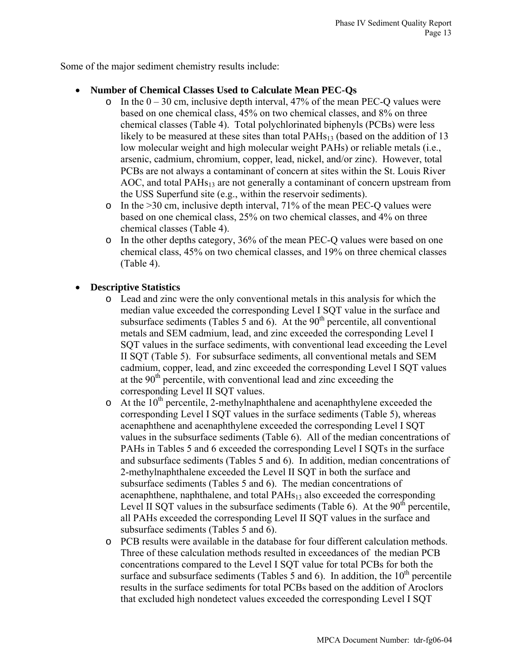Some of the major sediment chemistry results include:

# • **Number of Chemical Classes Used to Calculate Mean PEC-Qs**

- o In the  $0 30$  cm, inclusive depth interval, 47% of the mean PEC-Q values were based on one chemical class, 45% on two chemical classes, and 8% on three chemical classes (Table 4). Total polychlorinated biphenyls (PCBs) were less likely to be measured at these sites than total  $PAHs<sub>13</sub>$  (based on the addition of 13 low molecular weight and high molecular weight PAHs) or reliable metals (i.e., arsenic, cadmium, chromium, copper, lead, nickel, and/or zinc). However, total PCBs are not always a contaminant of concern at sites within the St. Louis River  $AOC$ , and total PAHs<sub>13</sub> are not generally a contaminant of concern upstream from the USS Superfund site (e.g., within the reservoir sediments).
- $\circ$  In the >30 cm, inclusive depth interval, 71% of the mean PEC-Q values were based on one chemical class, 25% on two chemical classes, and 4% on three chemical classes (Table 4).
- o In the other depths category, 36% of the mean PEC-Q values were based on one chemical class, 45% on two chemical classes, and 19% on three chemical classes (Table 4).

## • **Descriptive Statistics**

- o Lead and zinc were the only conventional metals in this analysis for which the median value exceeded the corresponding Level I SQT value in the surface and subsurface sediments (Tables 5 and 6). At the  $90<sup>th</sup>$  percentile, all conventional metals and SEM cadmium, lead, and zinc exceeded the corresponding Level I SQT values in the surface sediments, with conventional lead exceeding the Level II SQT (Table 5). For subsurface sediments, all conventional metals and SEM cadmium, copper, lead, and zinc exceeded the corresponding Level I SQT values at the  $90<sup>th</sup>$  percentile, with conventional lead and zinc exceeding the corresponding Level II SQT values.
- $\circ$  At the 10<sup>th</sup> percentile, 2-methylnaphthalene and acenaphthylene exceeded the corresponding Level I SQT values in the surface sediments (Table 5), whereas acenaphthene and acenaphthylene exceeded the corresponding Level I SQT values in the subsurface sediments (Table 6). All of the median concentrations of PAHs in Tables 5 and 6 exceeded the corresponding Level I SQTs in the surface and subsurface sediments (Tables 5 and 6). In addition, median concentrations of 2-methylnaphthalene exceeded the Level II SQT in both the surface and subsurface sediments (Tables 5 and 6). The median concentrations of acenaphthene, naphthalene, and total PAHs<sub>13</sub> also exceeded the corresponding Level II SQT values in the subsurface sediments (Table 6). At the  $90<sup>th</sup>$  percentile, all PAHs exceeded the corresponding Level II SQT values in the surface and subsurface sediments (Tables 5 and 6).
- o PCB results were available in the database for four different calculation methods. Three of these calculation methods resulted in exceedances of the median PCB concentrations compared to the Level I SQT value for total PCBs for both the surface and subsurface sediments (Tables 5 and 6). In addition, the  $10<sup>th</sup>$  percentile results in the surface sediments for total PCBs based on the addition of Aroclors that excluded high nondetect values exceeded the corresponding Level I SQT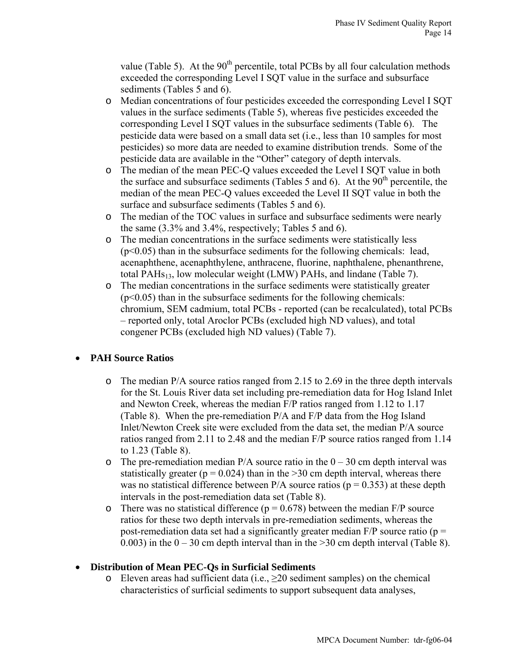value (Table 5). At the  $90<sup>th</sup>$  percentile, total PCBs by all four calculation methods exceeded the corresponding Level I SQT value in the surface and subsurface sediments (Tables 5 and 6).

- o Median concentrations of four pesticides exceeded the corresponding Level I SQT values in the surface sediments (Table 5), whereas five pesticides exceeded the corresponding Level I SQT values in the subsurface sediments (Table 6). The pesticide data were based on a small data set (i.e., less than 10 samples for most pesticides) so more data are needed to examine distribution trends. Some of the pesticide data are available in the "Other" category of depth intervals.
- o The median of the mean PEC-Q values exceeded the Level I SQT value in both the surface and subsurface sediments (Tables 5 and 6). At the  $90<sup>th</sup>$  percentile, the median of the mean PEC-Q values exceeded the Level II SQT value in both the surface and subsurface sediments (Tables 5 and 6).
- o The median of the TOC values in surface and subsurface sediments were nearly the same (3.3% and 3.4%, respectively; Tables 5 and 6).
- o The median concentrations in the surface sediments were statistically less  $(p<0.05)$  than in the subsurface sediments for the following chemicals: lead, acenaphthene, acenaphthylene, anthracene, fluorine, naphthalene, phenanthrene, total PAHs<sub>13</sub>, low molecular weight (LMW) PAHs, and lindane (Table 7).
- o The median concentrations in the surface sediments were statistically greater  $(p<0.05)$  than in the subsurface sediments for the following chemicals: chromium, SEM cadmium, total PCBs - reported (can be recalculated), total PCBs – reported only, total Aroclor PCBs (excluded high ND values), and total congener PCBs (excluded high ND values) (Table 7).

# • **PAH Source Ratios**

- o The median P/A source ratios ranged from 2.15 to 2.69 in the three depth intervals for the St. Louis River data set including pre-remediation data for Hog Island Inlet and Newton Creek, whereas the median F/P ratios ranged from 1.12 to 1.17 (Table 8). When the pre-remediation P/A and F/P data from the Hog Island Inlet/Newton Creek site were excluded from the data set, the median P/A source ratios ranged from 2.11 to 2.48 and the median F/P source ratios ranged from 1.14 to 1.23 (Table 8).
- $\circ$  The pre-remediation median P/A source ratio in the 0 30 cm depth interval was statistically greater ( $p = 0.024$ ) than in the  $> 30$  cm depth interval, whereas there was no statistical difference between  $P/A$  source ratios ( $p = 0.353$ ) at these depth intervals in the post-remediation data set (Table 8).
- o There was no statistical difference ( $p = 0.678$ ) between the median F/P source ratios for these two depth intervals in pre-remediation sediments, whereas the post-remediation data set had a significantly greater median  $F/P$  source ratio ( $p =$ 0.003) in the  $0 - 30$  cm depth interval than in the  $> 30$  cm depth interval (Table 8).

# • **Distribution of Mean PEC-Qs in Surficial Sediments**

o Eleven areas had sufficient data (i.e.,  $\geq 20$  sediment samples) on the chemical characteristics of surficial sediments to support subsequent data analyses,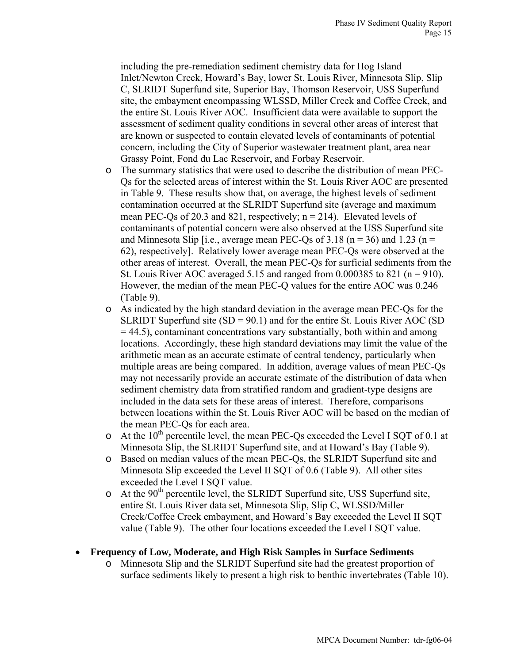including the pre-remediation sediment chemistry data for Hog Island Inlet/Newton Creek, Howard's Bay, lower St. Louis River, Minnesota Slip, Slip C, SLRIDT Superfund site, Superior Bay, Thomson Reservoir, USS Superfund site, the embayment encompassing WLSSD, Miller Creek and Coffee Creek, and the entire St. Louis River AOC. Insufficient data were available to support the assessment of sediment quality conditions in several other areas of interest that are known or suspected to contain elevated levels of contaminants of potential concern, including the City of Superior wastewater treatment plant, area near Grassy Point, Fond du Lac Reservoir, and Forbay Reservoir.

- o The summary statistics that were used to describe the distribution of mean PEC-Qs for the selected areas of interest within the St. Louis River AOC are presented in Table 9. These results show that, on average, the highest levels of sediment contamination occurred at the SLRIDT Superfund site (average and maximum mean PEC-Qs of 20.3 and 821, respectively;  $n = 214$ ). Elevated levels of contaminants of potential concern were also observed at the USS Superfund site and Minnesota Slip [i.e., average mean PEC-Qs of 3.18 ( $n = 36$ ) and 1.23 ( $n =$ 62), respectively]. Relatively lower average mean PEC-Qs were observed at the other areas of interest. Overall, the mean PEC-Qs for surficial sediments from the St. Louis River AOC averaged 5.15 and ranged from  $0.000385$  to 821 (n = 910). However, the median of the mean PEC-Q values for the entire AOC was 0.246 (Table 9).
- o As indicated by the high standard deviation in the average mean PEC-Qs for the SLRIDT Superfund site  $(SD = 90.1)$  and for the entire St. Louis River AOC  $(SD)$  $=$  44.5), contaminant concentrations vary substantially, both within and among locations. Accordingly, these high standard deviations may limit the value of the arithmetic mean as an accurate estimate of central tendency, particularly when multiple areas are being compared. In addition, average values of mean PEC-Qs may not necessarily provide an accurate estimate of the distribution of data when sediment chemistry data from stratified random and gradient-type designs are included in the data sets for these areas of interest. Therefore, comparisons between locations within the St. Louis River AOC will be based on the median of the mean PEC-Qs for each area.
- $\circ$  At the 10<sup>th</sup> percentile level, the mean PEC-Os exceeded the Level I SOT of 0.1 at Minnesota Slip, the SLRIDT Superfund site, and at Howard's Bay (Table 9).
- o Based on median values of the mean PEC-Qs, the SLRIDT Superfund site and Minnesota Slip exceeded the Level II SQT of 0.6 (Table 9). All other sites exceeded the Level I SQT value.
- $\circ$  At the 90<sup>th</sup> percentile level, the SLRIDT Superfund site, USS Superfund site, entire St. Louis River data set, Minnesota Slip, Slip C, WLSSD/Miller Creek/Coffee Creek embayment, and Howard's Bay exceeded the Level II SQT value (Table 9). The other four locations exceeded the Level I SQT value.

### • **Frequency of Low, Moderate, and High Risk Samples in Surface Sediments**

o Minnesota Slip and the SLRIDT Superfund site had the greatest proportion of surface sediments likely to present a high risk to benthic invertebrates (Table 10).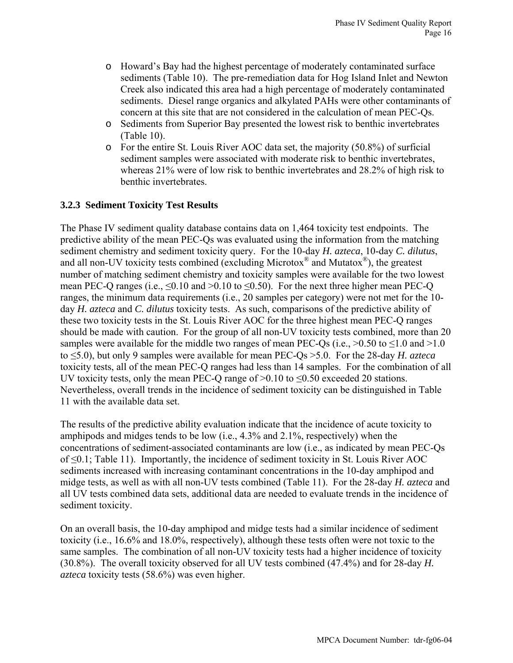- o Howard's Bay had the highest percentage of moderately contaminated surface sediments (Table 10). The pre-remediation data for Hog Island Inlet and Newton Creek also indicated this area had a high percentage of moderately contaminated sediments. Diesel range organics and alkylated PAHs were other contaminants of concern at this site that are not considered in the calculation of mean PEC-Qs.
- o Sediments from Superior Bay presented the lowest risk to benthic invertebrates (Table 10).
- o For the entire St. Louis River AOC data set, the majority (50.8%) of surficial sediment samples were associated with moderate risk to benthic invertebrates, whereas 21% were of low risk to benthic invertebrates and 28.2% of high risk to benthic invertebrates.

## **3.2.3 Sediment Toxicity Test Results**

The Phase IV sediment quality database contains data on 1,464 toxicity test endpoints. The predictive ability of the mean PEC-Qs was evaluated using the information from the matching sediment chemistry and sediment toxicity query. For the 10-day *H. azteca*, 10-day *C. dilutus*, and all non-UV toxicity tests combined (excluding Microtox® and Mutatox®), the greatest number of matching sediment chemistry and toxicity samples were available for the two lowest mean PEC-Q ranges (i.e.,  $\leq 0.10$  and  $> 0.10$  to  $\leq 0.50$ ). For the next three higher mean PEC-Q ranges, the minimum data requirements (i.e., 20 samples per category) were not met for the 10 day *H. azteca* and *C. dilutus* toxicity tests. As such, comparisons of the predictive ability of these two toxicity tests in the St. Louis River AOC for the three highest mean PEC-Q ranges should be made with caution. For the group of all non-UV toxicity tests combined, more than 20 samples were available for the middle two ranges of mean PEC-Qs (i.e.,  $>0.50$  to  $\leq 1.0$  and  $>1.0$ to ≤5.0), but only 9 samples were available for mean PEC-Qs >5.0. For the 28-day *H. azteca* toxicity tests, all of the mean PEC-Q ranges had less than 14 samples. For the combination of all UV toxicity tests, only the mean PEC-Q range of  $>0.10$  to  $\leq 0.50$  exceeded 20 stations. Nevertheless, overall trends in the incidence of sediment toxicity can be distinguished in Table 11 with the available data set.

The results of the predictive ability evaluation indicate that the incidence of acute toxicity to amphipods and midges tends to be low (i.e., 4.3% and 2.1%, respectively) when the concentrations of sediment-associated contaminants are low (i.e., as indicated by mean PEC-Qs of ≤0.1; Table 11). Importantly, the incidence of sediment toxicity in St. Louis River AOC sediments increased with increasing contaminant concentrations in the 10-day amphipod and midge tests, as well as with all non-UV tests combined (Table 11). For the 28-day *H. azteca* and all UV tests combined data sets, additional data are needed to evaluate trends in the incidence of sediment toxicity.

On an overall basis, the 10-day amphipod and midge tests had a similar incidence of sediment toxicity (i.e., 16.6% and 18.0%, respectively), although these tests often were not toxic to the same samples. The combination of all non-UV toxicity tests had a higher incidence of toxicity (30.8%). The overall toxicity observed for all UV tests combined (47.4%) and for 28-day *H. azteca* toxicity tests (58.6%) was even higher.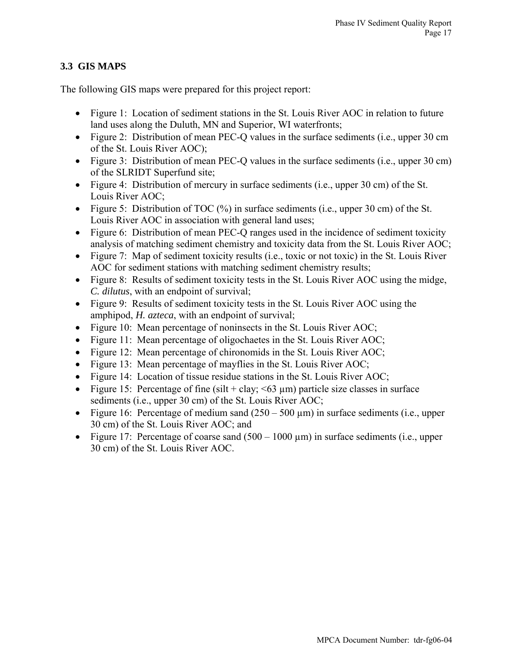# **3.3 GIS MAPS**

The following GIS maps were prepared for this project report:

- Figure 1: Location of sediment stations in the St. Louis River AOC in relation to future land uses along the Duluth, MN and Superior, WI waterfronts;
- Figure 2: Distribution of mean PEC-O values in the surface sediments (i.e., upper 30 cm of the St. Louis River AOC);
- Figure 3: Distribution of mean PEC-Q values in the surface sediments (i.e., upper 30 cm) of the SLRIDT Superfund site;
- Figure 4: Distribution of mercury in surface sediments (i.e., upper 30 cm) of the St. Louis River AOC;
- Figure 5: Distribution of TOC  $(\%)$  in surface sediments (i.e., upper 30 cm) of the St. Louis River AOC in association with general land uses;
- Figure 6: Distribution of mean PEC-O ranges used in the incidence of sediment toxicity analysis of matching sediment chemistry and toxicity data from the St. Louis River AOC;
- Figure 7: Map of sediment toxicity results (i.e., toxic or not toxic) in the St. Louis River AOC for sediment stations with matching sediment chemistry results;
- Figure 8: Results of sediment toxicity tests in the St. Louis River AOC using the midge, *C. dilutus*, with an endpoint of survival;
- Figure 9: Results of sediment toxicity tests in the St. Louis River AOC using the amphipod, *H. azteca*, with an endpoint of survival;
- Figure 10: Mean percentage of noninsects in the St. Louis River AOC;
- Figure 11: Mean percentage of oligochaetes in the St. Louis River AOC;
- Figure 12: Mean percentage of chironomids in the St. Louis River AOC;
- Figure 13: Mean percentage of mayflies in the St. Louis River AOC;
- Figure 14: Location of tissue residue stations in the St. Louis River AOC;
- Figure 15: Percentage of fine (silt + clay;  $\leq 63 \text{ }\mu\text{m}$ ) particle size classes in surface sediments (i.e., upper 30 cm) of the St. Louis River AOC;
- Figure 16: Percentage of medium sand  $(250 500 \,\mu\text{m})$  in surface sediments (i.e., upper 30 cm) of the St. Louis River AOC; and
- Figure 17: Percentage of coarse sand  $(500 1000 \,\mu m)$  in surface sediments (i.e., upper 30 cm) of the St. Louis River AOC.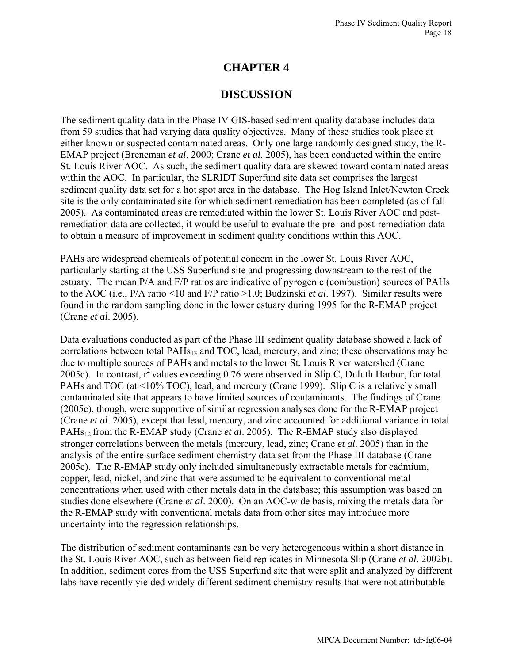# **CHAPTER 4**

# **DISCUSSION**

The sediment quality data in the Phase IV GIS-based sediment quality database includes data from 59 studies that had varying data quality objectives. Many of these studies took place at either known or suspected contaminated areas. Only one large randomly designed study, the R-EMAP project (Breneman *et al*. 2000; Crane *et al*. 2005), has been conducted within the entire St. Louis River AOC. As such, the sediment quality data are skewed toward contaminated areas within the AOC. In particular, the SLRIDT Superfund site data set comprises the largest sediment quality data set for a hot spot area in the database. The Hog Island Inlet/Newton Creek site is the only contaminated site for which sediment remediation has been completed (as of fall 2005). As contaminated areas are remediated within the lower St. Louis River AOC and postremediation data are collected, it would be useful to evaluate the pre- and post-remediation data to obtain a measure of improvement in sediment quality conditions within this AOC.

PAHs are widespread chemicals of potential concern in the lower St. Louis River AOC, particularly starting at the USS Superfund site and progressing downstream to the rest of the estuary. The mean P/A and F/P ratios are indicative of pyrogenic (combustion) sources of PAHs to the AOC (i.e., P/A ratio <10 and F/P ratio >1.0; Budzinski *et al*. 1997). Similar results were found in the random sampling done in the lower estuary during 1995 for the R-EMAP project (Crane *et al*. 2005).

Data evaluations conducted as part of the Phase III sediment quality database showed a lack of correlations between total PAHs<sub>13</sub> and TOC, lead, mercury, and zinc; these observations may be due to multiple sources of PAHs and metals to the lower St. Louis River watershed (Crane 2005c). In contrast,  $r^2$  values exceeding 0.76 were observed in Slip C, Duluth Harbor, for total PAHs and TOC (at <10% TOC), lead, and mercury (Crane 1999). Slip C is a relatively small contaminated site that appears to have limited sources of contaminants. The findings of Crane (2005c), though, were supportive of similar regression analyses done for the R-EMAP project (Crane *et al*. 2005), except that lead, mercury, and zinc accounted for additional variance in total PAHs12 from the R-EMAP study (Crane *et al*. 2005). The R-EMAP study also displayed stronger correlations between the metals (mercury, lead, zinc; Crane *et al*. 2005) than in the analysis of the entire surface sediment chemistry data set from the Phase III database (Crane 2005c). The R-EMAP study only included simultaneously extractable metals for cadmium, copper, lead, nickel, and zinc that were assumed to be equivalent to conventional metal concentrations when used with other metals data in the database; this assumption was based on studies done elsewhere (Crane *et al*. 2000). On an AOC-wide basis, mixing the metals data for the R-EMAP study with conventional metals data from other sites may introduce more uncertainty into the regression relationships.

The distribution of sediment contaminants can be very heterogeneous within a short distance in the St. Louis River AOC, such as between field replicates in Minnesota Slip (Crane *et al*. 2002b). In addition, sediment cores from the USS Superfund site that were split and analyzed by different labs have recently yielded widely different sediment chemistry results that were not attributable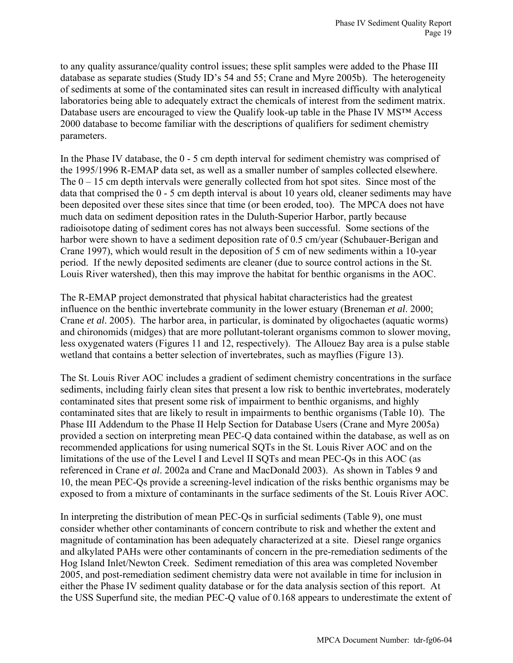to any quality assurance/quality control issues; these split samples were added to the Phase III database as separate studies (Study ID's 54 and 55; Crane and Myre 2005b). The heterogeneity of sediments at some of the contaminated sites can result in increased difficulty with analytical laboratories being able to adequately extract the chemicals of interest from the sediment matrix. Database users are encouraged to view the Qualify look-up table in the Phase IV MS™ Access 2000 database to become familiar with the descriptions of qualifiers for sediment chemistry parameters.

In the Phase IV database, the 0 - 5 cm depth interval for sediment chemistry was comprised of the 1995/1996 R-EMAP data set, as well as a smaller number of samples collected elsewhere. The  $0 - 15$  cm depth intervals were generally collected from hot spot sites. Since most of the data that comprised the 0 - 5 cm depth interval is about 10 years old, cleaner sediments may have been deposited over these sites since that time (or been eroded, too). The MPCA does not have much data on sediment deposition rates in the Duluth-Superior Harbor, partly because radioisotope dating of sediment cores has not always been successful. Some sections of the harbor were shown to have a sediment deposition rate of 0.5 cm/year (Schubauer-Berigan and Crane 1997), which would result in the deposition of 5 cm of new sediments within a 10-year period. If the newly deposited sediments are cleaner (due to source control actions in the St. Louis River watershed), then this may improve the habitat for benthic organisms in the AOC.

The R-EMAP project demonstrated that physical habitat characteristics had the greatest influence on the benthic invertebrate community in the lower estuary (Breneman *et al*. 2000; Crane *et al*. 2005). The harbor area, in particular, is dominated by oligochaetes (aquatic worms) and chironomids (midges) that are more pollutant-tolerant organisms common to slower moving, less oxygenated waters (Figures 11 and 12, respectively). The Allouez Bay area is a pulse stable wetland that contains a better selection of invertebrates, such as mayflies (Figure 13).

The St. Louis River AOC includes a gradient of sediment chemistry concentrations in the surface sediments, including fairly clean sites that present a low risk to benthic invertebrates, moderately contaminated sites that present some risk of impairment to benthic organisms, and highly contaminated sites that are likely to result in impairments to benthic organisms (Table 10). The Phase III Addendum to the Phase II Help Section for Database Users (Crane and Myre 2005a) provided a section on interpreting mean PEC-Q data contained within the database, as well as on recommended applications for using numerical SQTs in the St. Louis River AOC and on the limitations of the use of the Level I and Level II SQTs and mean PEC-Qs in this AOC (as referenced in Crane *et al*. 2002a and Crane and MacDonald 2003). As shown in Tables 9 and 10, the mean PEC-Qs provide a screening-level indication of the risks benthic organisms may be exposed to from a mixture of contaminants in the surface sediments of the St. Louis River AOC.

In interpreting the distribution of mean PEC-Qs in surficial sediments (Table 9), one must consider whether other contaminants of concern contribute to risk and whether the extent and magnitude of contamination has been adequately characterized at a site. Diesel range organics and alkylated PAHs were other contaminants of concern in the pre-remediation sediments of the Hog Island Inlet/Newton Creek. Sediment remediation of this area was completed November 2005, and post-remediation sediment chemistry data were not available in time for inclusion in either the Phase IV sediment quality database or for the data analysis section of this report. At the USS Superfund site, the median PEC-Q value of 0.168 appears to underestimate the extent of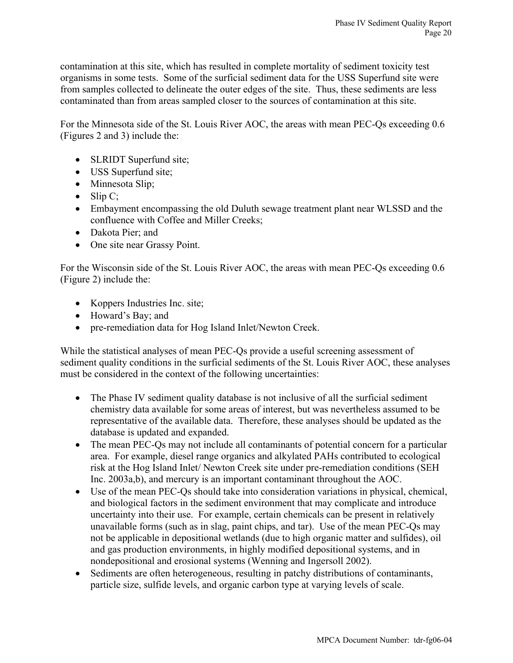contamination at this site, which has resulted in complete mortality of sediment toxicity test organisms in some tests. Some of the surficial sediment data for the USS Superfund site were from samples collected to delineate the outer edges of the site. Thus, these sediments are less contaminated than from areas sampled closer to the sources of contamination at this site.

For the Minnesota side of the St. Louis River AOC, the areas with mean PEC-Qs exceeding 0.6 (Figures 2 and 3) include the:

- SLRIDT Superfund site;
- USS Superfund site;
- Minnesota Slip;
- Slip  $C$ ;
- Embayment encompassing the old Duluth sewage treatment plant near WLSSD and the confluence with Coffee and Miller Creeks;
- Dakota Pier; and
- One site near Grassy Point.

For the Wisconsin side of the St. Louis River AOC, the areas with mean PEC-Qs exceeding 0.6 (Figure 2) include the:

- Koppers Industries Inc. site;
- Howard's Bay; and
- pre-remediation data for Hog Island Inlet/Newton Creek.

While the statistical analyses of mean PEC-Qs provide a useful screening assessment of sediment quality conditions in the surficial sediments of the St. Louis River AOC, these analyses must be considered in the context of the following uncertainties:

- The Phase IV sediment quality database is not inclusive of all the surficial sediment chemistry data available for some areas of interest, but was nevertheless assumed to be representative of the available data. Therefore, these analyses should be updated as the database is updated and expanded.
- The mean PEC-Qs may not include all contaminants of potential concern for a particular area. For example, diesel range organics and alkylated PAHs contributed to ecological risk at the Hog Island Inlet/ Newton Creek site under pre-remediation conditions (SEH Inc. 2003a,b), and mercury is an important contaminant throughout the AOC.
- Use of the mean PEC-Qs should take into consideration variations in physical, chemical, and biological factors in the sediment environment that may complicate and introduce uncertainty into their use. For example, certain chemicals can be present in relatively unavailable forms (such as in slag, paint chips, and tar). Use of the mean PEC-Qs may not be applicable in depositional wetlands (due to high organic matter and sulfides), oil and gas production environments, in highly modified depositional systems, and in nondepositional and erosional systems (Wenning and Ingersoll 2002).
- Sediments are often heterogeneous, resulting in patchy distributions of contaminants, particle size, sulfide levels, and organic carbon type at varying levels of scale.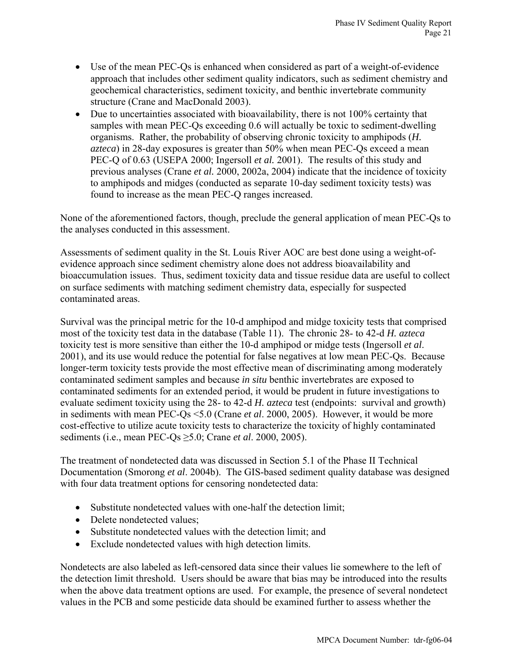- Use of the mean PEC-Qs is enhanced when considered as part of a weight-of-evidence approach that includes other sediment quality indicators, such as sediment chemistry and geochemical characteristics, sediment toxicity, and benthic invertebrate community structure (Crane and MacDonald 2003).
- Due to uncertainties associated with bioavailability, there is not 100% certainty that samples with mean PEC-Qs exceeding 0.6 will actually be toxic to sediment-dwelling organisms. Rather, the probability of observing chronic toxicity to amphipods (*H. azteca*) in 28-day exposures is greater than 50% when mean PEC-Qs exceed a mean PEC-Q of 0.63 (USEPA 2000; Ingersoll *et al.* 2001). The results of this study and previous analyses (Crane *et al.* 2000, 2002a, 2004) indicate that the incidence of toxicity to amphipods and midges (conducted as separate 10-day sediment toxicity tests) was found to increase as the mean PEC-Q ranges increased.

None of the aforementioned factors, though, preclude the general application of mean PEC-Qs to the analyses conducted in this assessment.

Assessments of sediment quality in the St. Louis River AOC are best done using a weight-ofevidence approach since sediment chemistry alone does not address bioavailability and bioaccumulation issues. Thus, sediment toxicity data and tissue residue data are useful to collect on surface sediments with matching sediment chemistry data, especially for suspected contaminated areas.

Survival was the principal metric for the 10-d amphipod and midge toxicity tests that comprised most of the toxicity test data in the database (Table 11). The chronic 28- to 42-d *H. azteca* toxicity test is more sensitive than either the 10-d amphipod or midge tests (Ingersoll *et al*. 2001), and its use would reduce the potential for false negatives at low mean PEC-Qs. Because longer-term toxicity tests provide the most effective mean of discriminating among moderately contaminated sediment samples and because *in situ* benthic invertebrates are exposed to contaminated sediments for an extended period, it would be prudent in future investigations to evaluate sediment toxicity using the 28- to 42-d *H. azteca* test (endpoints: survival and growth) in sediments with mean PEC-Qs <5.0 (Crane *et al*. 2000, 2005). However, it would be more cost-effective to utilize acute toxicity tests to characterize the toxicity of highly contaminated sediments (i.e., mean PEC-Qs ≥5.0; Crane *et al*. 2000, 2005).

The treatment of nondetected data was discussed in Section 5.1 of the Phase II Technical Documentation (Smorong *et al*. 2004b). The GIS-based sediment quality database was designed with four data treatment options for censoring nondetected data:

- Substitute nondetected values with one-half the detection limit;
- Delete nondetected values:
- Substitute nondetected values with the detection limit; and
- Exclude nondetected values with high detection limits.

Nondetects are also labeled as left-censored data since their values lie somewhere to the left of the detection limit threshold. Users should be aware that bias may be introduced into the results when the above data treatment options are used. For example, the presence of several nondetect values in the PCB and some pesticide data should be examined further to assess whether the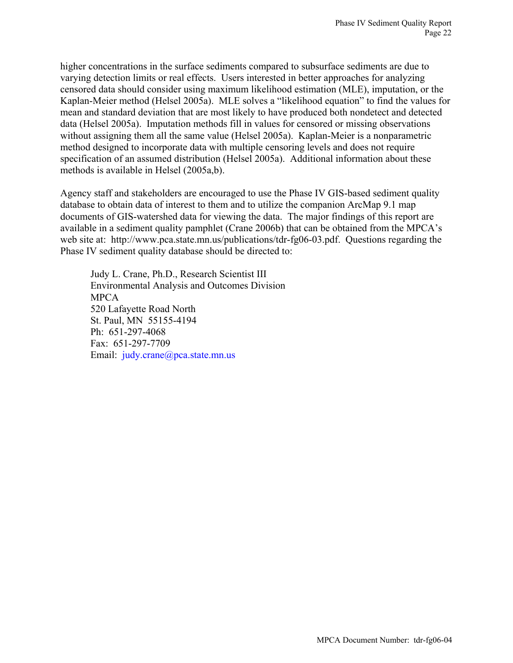higher concentrations in the surface sediments compared to subsurface sediments are due to varying detection limits or real effects. Users interested in better approaches for analyzing censored data should consider using maximum likelihood estimation (MLE), imputation, or the Kaplan-Meier method (Helsel 2005a). MLE solves a "likelihood equation" to find the values for mean and standard deviation that are most likely to have produced both nondetect and detected data (Helsel 2005a). Imputation methods fill in values for censored or missing observations without assigning them all the same value (Helsel 2005a). Kaplan-Meier is a nonparametric method designed to incorporate data with multiple censoring levels and does not require specification of an assumed distribution (Helsel 2005a). Additional information about these methods is available in Helsel (2005a,b).

Agency staff and stakeholders are encouraged to use the Phase IV GIS-based sediment quality database to obtain data of interest to them and to utilize the companion ArcMap 9.1 map documents of GIS-watershed data for viewing the data. The major findings of this report are available in a sediment quality pamphlet (Crane 2006b) that can be obtained from the MPCA's web site at: http://www.pca.state.mn.us/publications/tdr-fg06-03.pdf. Questions regarding the Phase IV sediment quality database should be directed to:

 Judy L. Crane, Ph.D., Research Scientist III Environmental Analysis and Outcomes Division MPCA 520 Lafayette Road North St. Paul, MN 55155-4194 Ph: 651-297-4068 Fax: 651-297-7709 Email: [judy.crane@pca.state.mn.us](mailto:judy.crane@pca.state.mn.us)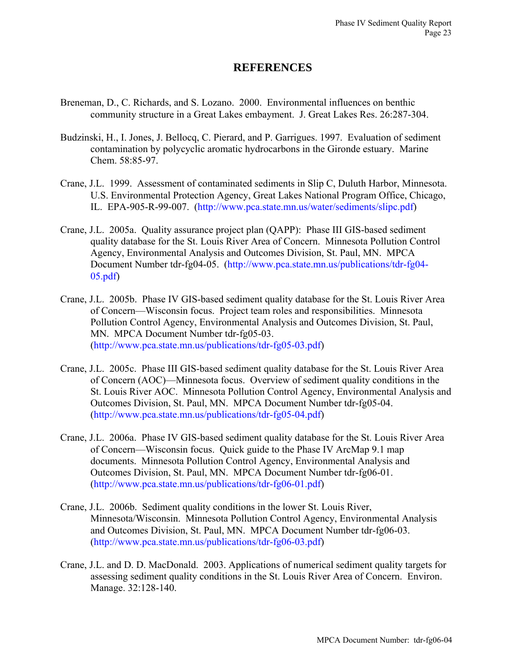# **REFERENCES**

- Breneman, D., C. Richards, and S. Lozano. 2000. Environmental influences on benthic community structure in a Great Lakes embayment. J. Great Lakes Res. 26:287-304.
- Budzinski, H., I. Jones, J. Bellocq, C. Pierard, and P. Garrigues. 1997. Evaluation of sediment contamination by polycyclic aromatic hydrocarbons in the Gironde estuary. Marine Chem. 58:85-97.
- Crane, J.L. 1999. Assessment of contaminated sediments in Slip C, Duluth Harbor, Minnesota. U.S. Environmental Protection Agency, Great Lakes National Program Office, Chicago, IL. EPA-905-R-99-007. ([http://www.pca.state.mn.us/water/sediments/slipc.pdf\)](http://www.pca.state.mn.us/water/sediments/slipc.pdf)
- Crane, J.L. 2005a. Quality assurance project plan (QAPP): Phase III GIS-based sediment quality database for the St. Louis River Area of Concern. Minnesota Pollution Control Agency, Environmental Analysis and Outcomes Division, St. Paul, MN. MPCA Document Number tdr-fg04-05. ([http://www.pca.state.mn.us/publications/tdr-fg04-](http://www.pca.state.mn.us/publications/tdr-fg04-05.pdf) [05.pdf\)](http://www.pca.state.mn.us/publications/tdr-fg04-05.pdf)
- Crane, J.L. 2005b. Phase IV GIS-based sediment quality database for the St. Louis River Area of Concern—Wisconsin focus. Project team roles and responsibilities. Minnesota Pollution Control Agency, Environmental Analysis and Outcomes Division, St. Paul, MN. MPCA Document Number tdr-fg05-03. ([http://www.pca.state.mn.us/publications/tdr-fg05-03.pdf\)](http://www.pca.state.mn.us/publications/tdr-fg05-03.pdf)
- Crane, J.L. 2005c. Phase III GIS-based sediment quality database for the St. Louis River Area of Concern (AOC)—Minnesota focus. Overview of sediment quality conditions in the St. Louis River AOC. Minnesota Pollution Control Agency, Environmental Analysis and Outcomes Division, St. Paul, MN. MPCA Document Number tdr-fg05-04. ([http://www.pca.state.mn.us/publications/tdr-fg05-04.pdf\)](http://www.pca.state.mn.us/publications/tdr-fg05-04.pdf)
- Crane, J.L. 2006a. Phase IV GIS-based sediment quality database for the St. Louis River Area of Concern—Wisconsin focus. Quick guide to the Phase IV ArcMap 9.1 map documents. Minnesota Pollution Control Agency, Environmental Analysis and Outcomes Division, St. Paul, MN. MPCA Document Number tdr-fg06-01. ([http://www.pca.state.mn.us/publications/tdr-fg06-01.pdf\)](http://www.pca.state.mn.us/publications/tdr-fg06-01.pdf)
- Crane, J.L. 2006b. Sediment quality conditions in the lower St. Louis River, Minnesota/Wisconsin. Minnesota Pollution Control Agency, Environmental Analysis and Outcomes Division, St. Paul, MN. MPCA Document Number tdr-fg06-03. ([http://www.pca.state.mn.us/publications/tdr-fg06-03.pdf\)](http://www.pca.state.mn.us/publications/tdr-fg06-03.pdf)
- Crane, J.L. and D. D. MacDonald. 2003. Applications of numerical sediment quality targets for assessing sediment quality conditions in the St. Louis River Area of Concern. Environ. Manage. 32:128-140.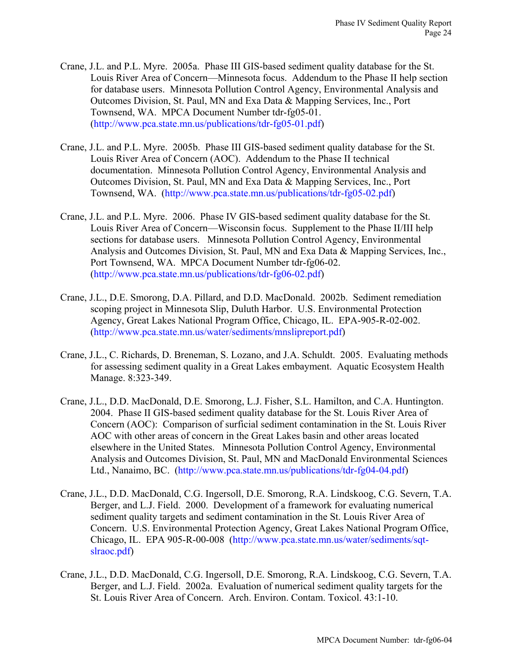- Crane, J.L. and P.L. Myre. 2005a. Phase III GIS-based sediment quality database for the St. Louis River Area of Concern—Minnesota focus. Addendum to the Phase II help section for database users. Minnesota Pollution Control Agency, Environmental Analysis and Outcomes Division, St. Paul, MN and Exa Data & Mapping Services, Inc., Port Townsend, WA. MPCA Document Number tdr-fg05-01. ([http://www.pca.state.mn.us/publications/tdr-fg05-01.pdf\)](http://www.pca.state.mn.us/publications/tdr-fg05-01.pdf)
- Crane, J.L. and P.L. Myre. 2005b. Phase III GIS-based sediment quality database for the St. Louis River Area of Concern (AOC). Addendum to the Phase II technical documentation. Minnesota Pollution Control Agency, Environmental Analysis and Outcomes Division, St. Paul, MN and Exa Data & Mapping Services, Inc., Port Townsend, WA. ([http://www.pca.state.mn.us/publications/tdr-fg05-02.pdf\)](http://www.pca.state.mn.us/publications/tdr-fg05-01.pdf)
- Crane, J.L. and P.L. Myre. 2006. Phase IV GIS-based sediment quality database for the St. Louis River Area of Concern—Wisconsin focus. Supplement to the Phase II/III help sections for database users. Minnesota Pollution Control Agency, Environmental Analysis and Outcomes Division, St. Paul, MN and Exa Data & Mapping Services, Inc., Port Townsend, WA. MPCA Document Number tdr-fg06-02. ([http://www.pca.state.mn.us/publications/tdr-fg06-02.pdf\)](http://www.pca.state.mn.us/publications/tdr-fg06-02.pdf)
- Crane, J.L., D.E. Smorong, D.A. Pillard, and D.D. MacDonald. 2002b. Sediment remediation scoping project in Minnesota Slip, Duluth Harbor. U.S. Environmental Protection Agency, Great Lakes National Program Office, Chicago, IL. EPA-905-R-02-002. (<http://www.pca.state.mn.us/water/sediments/mnslipreport.pdf>)
- Crane, J.L., C. Richards, D. Breneman, S. Lozano, and J.A. Schuldt. 2005. Evaluating methods for assessing sediment quality in a Great Lakes embayment. Aquatic Ecosystem Health Manage. 8:323-349.
- Crane, J.L., D.D. MacDonald, D.E. Smorong, L.J. Fisher, S.L. Hamilton, and C.A. Huntington. 2004. Phase II GIS-based sediment quality database for the St. Louis River Area of Concern (AOC): Comparison of surficial sediment contamination in the St. Louis River AOC with other areas of concern in the Great Lakes basin and other areas located elsewhere in the United States. Minnesota Pollution Control Agency, Environmental Analysis and Outcomes Division, St. Paul, MN and MacDonald Environmental Sciences Ltd., Nanaimo, BC. ([http://www.pca.state.mn.us/publications/tdr-fg04-04.pdf\)](http://www.pca.state.mn.us/publications/tdr-fg04-04.pdf)
- Crane, J.L., D.D. MacDonald, C.G. Ingersoll, D.E. Smorong, R.A. Lindskoog, C.G. Severn, T.A. Berger, and L.J. Field. 2000. Development of a framework for evaluating numerical sediment quality targets and sediment contamination in the St. Louis River Area of Concern. U.S. Environmental Protection Agency, Great Lakes National Program Office, Chicago, IL. EPA 905-R-00-008 ([http://www.pca.state.mn.us/water/sediments/sqt](http://www.pca.state.mn.us/water/sediments/sqt-slraoc.pdf)[slraoc.pdf\)](http://www.pca.state.mn.us/water/sediments/sqt-slraoc.pdf)
- Crane, J.L., D.D. MacDonald, C.G. Ingersoll, D.E. Smorong, R.A. Lindskoog, C.G. Severn, T.A. Berger, and L.J. Field. 2002a. Evaluation of numerical sediment quality targets for the St. Louis River Area of Concern. Arch. Environ. Contam. Toxicol. 43:1-10.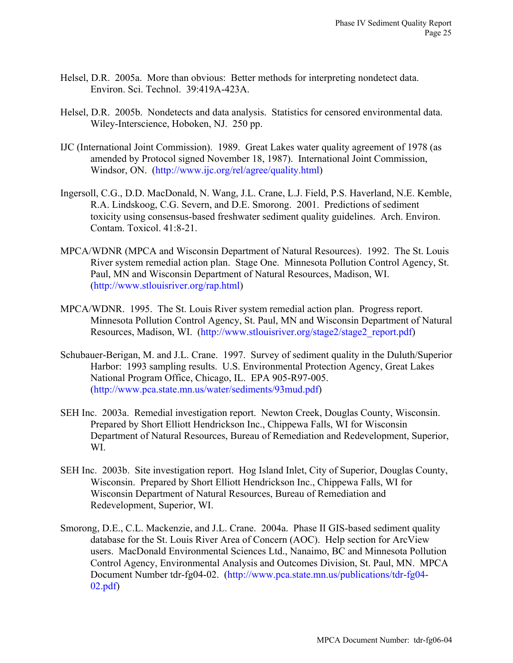- Helsel, D.R. 2005a. More than obvious: Better methods for interpreting nondetect data. Environ. Sci. Technol. 39:419A-423A.
- Helsel, D.R. 2005b. Nondetects and data analysis. Statistics for censored environmental data. Wiley-Interscience, Hoboken, NJ. 250 pp.
- IJC (International Joint Commission). 1989. Great Lakes water quality agreement of 1978 (as amended by Protocol signed November 18, 1987). International Joint Commission, Windsor, ON. (<http://www.ijc.org/rel/agree/quality.html>)
- Ingersoll, C.G., D.D. MacDonald, N. Wang, J.L. Crane, L.J. Field, P.S. Haverland, N.E. Kemble, R.A. Lindskoog, C.G. Severn, and D.E. Smorong. 2001. Predictions of sediment toxicity using consensus-based freshwater sediment quality guidelines. Arch. Environ. Contam. Toxicol. 41:8-21.
- MPCA/WDNR (MPCA and Wisconsin Department of Natural Resources). 1992. The St. Louis River system remedial action plan. Stage One. Minnesota Pollution Control Agency, St. Paul, MN and Wisconsin Department of Natural Resources, Madison, WI. (<http://www.stlouisriver.org/rap.html>)
- MPCA/WDNR. 1995. The St. Louis River system remedial action plan. Progress report. Minnesota Pollution Control Agency, St. Paul, MN and Wisconsin Department of Natural Resources, Madison, WI. ([http://www.stlouisriver.org/stage2/stage2\\_report.pdf\)](http://www.stlouisriver.org/stage2/stage2_report.pdf)
- Schubauer-Berigan, M. and J.L. Crane. 1997. Survey of sediment quality in the Duluth/Superior Harbor: 1993 sampling results. U.S. Environmental Protection Agency, Great Lakes National Program Office, Chicago, IL. EPA 905-R97-005. (<http://www.pca.state.mn.us/water/sediments/93mud.pdf>)
- SEH Inc. 2003a. Remedial investigation report. Newton Creek, Douglas County, Wisconsin. Prepared by Short Elliott Hendrickson Inc., Chippewa Falls, WI for Wisconsin Department of Natural Resources, Bureau of Remediation and Redevelopment, Superior, WI.
- SEH Inc. 2003b. Site investigation report. Hog Island Inlet, City of Superior, Douglas County, Wisconsin. Prepared by Short Elliott Hendrickson Inc., Chippewa Falls, WI for Wisconsin Department of Natural Resources, Bureau of Remediation and Redevelopment, Superior, WI.
- Smorong, D.E., C.L. Mackenzie, and J.L. Crane. 2004a. Phase II GIS-based sediment quality database for the St. Louis River Area of Concern (AOC). Help section for ArcView users. MacDonald Environmental Sciences Ltd., Nanaimo, BC and Minnesota Pollution Control Agency, Environmental Analysis and Outcomes Division, St. Paul, MN. MPCA Document Number tdr-fg04-02. ([http://www.pca.state.mn.us/publications/tdr-fg04-](http://www.pca.state.mn.us/publications/tdr-fg04-02.pdf) [02.pdf\)](http://www.pca.state.mn.us/publications/tdr-fg04-02.pdf)